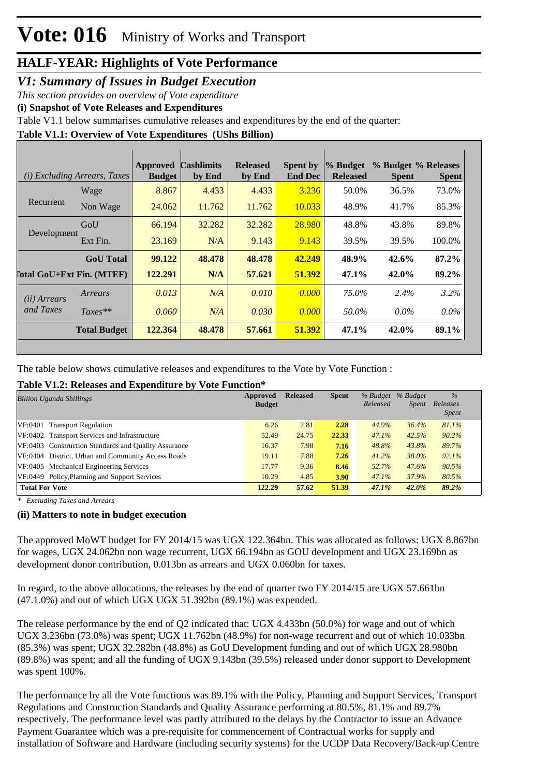#### *V1: Summary of Issues in Budget Execution*

*This section provides an overview of Vote expenditure* 

**(i) Snapshot of Vote Releases and Expenditures**

Table V1.1 below summarises cumulative releases and expenditures by the end of the quarter:

**Table V1.1: Overview of Vote Expenditures (UShs Billion)**

|                                  | (i) Excluding Arrears, Taxes | Approved<br><b>Budget</b> | <b>Cashlimits</b><br>by End | <b>Released</b><br>by End | <b>Spent by</b><br><b>End Dec</b> | % Budget<br><b>Released</b> | % Budget % Releases<br><b>Spent</b> | <b>Spent</b> |
|----------------------------------|------------------------------|---------------------------|-----------------------------|---------------------------|-----------------------------------|-----------------------------|-------------------------------------|--------------|
|                                  | Wage                         | 8.867                     | 4.433                       | 4.433                     | 3.236                             | 50.0%                       | 36.5%                               | 73.0%        |
| Recurrent                        | Non Wage                     | 24.062                    | 11.762                      | 11.762                    | 10.033                            | 48.9%                       | 41.7%                               | 85.3%        |
|                                  | GoU                          | 66.194                    | 32.282                      | 32.282                    | 28.980                            | 48.8%                       | 43.8%                               | 89.8%        |
| Development                      | Ext Fin.                     | 23.169                    | N/A                         | 9.143                     | 9.143                             | 39.5%                       | 39.5%                               | 100.0%       |
|                                  | <b>GoU</b> Total             | 99.122                    | 48.478                      | 48.478                    | 42.249                            | 48.9%                       | 42.6%                               | 87.2%        |
| <b>Total GoU+Ext Fin. (MTEF)</b> |                              | 122.291                   | N/A                         | 57.621                    | 51.392                            | $47.1\%$                    | 42.0%                               | 89.2%        |
| (ii) Arrears                     | Arrears                      | 0.013                     | N/A                         | 0.010                     | 0.000                             | 75.0%                       | 2.4%                                | $3.2\%$      |
| and Taxes                        | $Taxes**$                    | 0.060                     | N/A                         | 0.030                     | 0.000                             | 50.0%                       | $0.0\%$                             | $0.0\%$      |
|                                  | <b>Total Budget</b>          | 122,364                   | 48.478                      | 57.661                    | 51.392                            | 47.1%                       | 42.0%                               | 89.1%        |

The table below shows cumulative releases and expenditures to the Vote by Vote Function :

#### **Table V1.2: Releases and Expenditure by Vote Function\***

| <b>Billion Uganda Shillings</b>                      | Approved<br><b>Budget</b> | <b>Released</b> | <b>Spent</b> | % Budget<br>Released | % Budget<br>Spent | $\frac{0}{6}$<br>Releases<br><i>Spent</i> |
|------------------------------------------------------|---------------------------|-----------------|--------------|----------------------|-------------------|-------------------------------------------|
|                                                      |                           |                 |              |                      |                   |                                           |
| VF:0401 Transport Regulation                         | 6.26                      | 2.81            | 2.28         | 44.9%                | 36.4%             | 81.1%                                     |
| VF:0402 Transport Services and Infrastructure        | 52.49                     | 24.75           | 22.33        | 47.1%                | 42.5%             | 90.2%                                     |
| VF:0403 Construction Standards and Quality Assurance | 16.37                     | 7.98            | 7.16         | 48.8%                | 43.8%             | 89.7%                                     |
| VF:0404 District, Urban and Community Access Roads   | 19.11                     | 7.88            | 7.26         | $41.2\%$             | 38.0%             | 92.1%                                     |
| VF:0405 Mechanical Engineering Services              | 17.77                     | 9.36            | 8.46         | 52.7%                | 47.6%             | 90.5%                                     |
| VF:0449 Policy, Planning and Support Services        | 10.29                     | 4.85            | <b>3.90</b>  | 47.1%                | 37.9%             | 80.5%                                     |
| <b>Total For Vote</b>                                | 122.29                    | 57.62           | 51.39        | 47.1%                | 42.0%             | 89.2%                                     |

*\* Excluding Taxes and Arrears*

#### **(ii) Matters to note in budget execution**

The approved MoWT budget for FY 2014/15 was UGX 122.364bn. This was allocated as follows: UGX 8.867bn for wages, UGX 24.062bn non wage recurrent, UGX 66.194bn as GOU development and UGX 23.169bn as development donor contribution, 0.013bn as arrears and UGX 0.060bn for taxes.

In regard, to the above allocations, the releases by the end of quarter two FY 2014/15 are UGX 57.661bn (47.1.0%) and out of which UGX UGX 51.392bn (89.1%) was expended.

The release performance by the end of Q2 indicated that: UGX 4.433bn (50.0%) for wage and out of which UGX 3.236bn (73.0%) was spent; UGX 11.762bn (48.9%) for non-wage recurrent and out of which 10.033bn (85.3%) was spent; UGX 32.282bn (48.8%) as GoU Development funding and out of which UGX 28.980bn (89.8%) was spent; and all the funding of UGX 9.143bn (39.5%) released under donor support to Development was spent 100%.

The performance by all the Vote functions was 89.1% with the Policy, Planning and Support Services, Transport Regulations and Construction Standards and Quality Assurance performing at 80.5%, 81.1% and 89.7% respectively. The performance level was partly attributed to the delays by the Contractor to issue an Advance Payment Guarantee which was a pre-requisite for commencement of Contractual works for supply and installation of Software and Hardware (including security systems) for the UCDP Data Recovery/Back-up Centre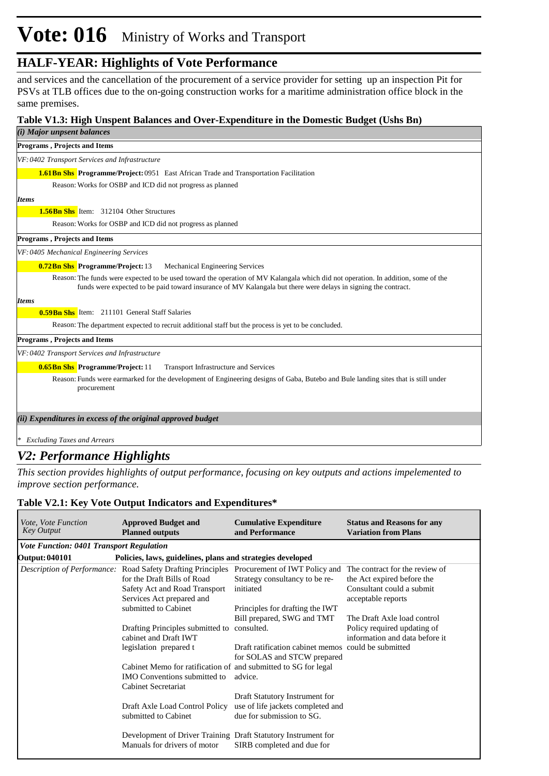# **Vote: 016** Ministry of Works and Transport

### **HALF-YEAR: Highlights of Vote Performance**

and services and the cancellation of the procurement of a service provider for setting up an inspection Pit for PSVs at TLB offices due to the on-going construction works for a maritime administration office block in the same premises.

#### **Table V1.3: High Unspent Balances and Over-Expenditure in the Domestic Budget (Ushs Bn)**

| (i) Major unpsent balances                                                                                                                                                                                                                          |
|-----------------------------------------------------------------------------------------------------------------------------------------------------------------------------------------------------------------------------------------------------|
| <b>Programs, Projects and Items</b>                                                                                                                                                                                                                 |
| VF: 0402 Transport Services and Infrastructure                                                                                                                                                                                                      |
| <b>1.61 Bn Shs Programme/Project:</b> 0951 East African Trade and Transportation Facilitation                                                                                                                                                       |
| Reason: Works for OSBP and ICD did not progress as planned                                                                                                                                                                                          |
| <b>Items</b>                                                                                                                                                                                                                                        |
| <b>1.56Bn Shs</b> Item: 312104 Other Structures                                                                                                                                                                                                     |
| Reason: Works for OSBP and ICD did not progress as planned                                                                                                                                                                                          |
| <b>Programs, Projects and Items</b>                                                                                                                                                                                                                 |
| VF: 0405 Mechanical Engineering Services                                                                                                                                                                                                            |
| 0.72Bn Shs Programme/Project: 13<br>Mechanical Engineering Services                                                                                                                                                                                 |
| Reason: The funds were expected to be used toward the operation of MV Kalangala which did not operation. In addition, some of the<br>funds were expected to be paid toward insurance of MV Kalangala but there were delays in signing the contract. |
| <b>Items</b>                                                                                                                                                                                                                                        |
| <b>0.59 Bn Shs</b> Item: 211101 General Staff Salaries                                                                                                                                                                                              |
| Reason: The department expected to recruit additional staff but the process is yet to be concluded.                                                                                                                                                 |
| <b>Programs, Projects and Items</b>                                                                                                                                                                                                                 |
| VF: 0402 Transport Services and Infrastructure                                                                                                                                                                                                      |
| <b>0.65Bn Shs</b> Programme/Project: 11<br><b>Transport Infrastructure and Services</b>                                                                                                                                                             |
| Reason: Funds were earmarked for the development of Engineering designs of Gaba, Butebo and Bule landing sites that is still under<br>procurement                                                                                                   |
| (ii) Expenditures in excess of the original approved budget                                                                                                                                                                                         |
|                                                                                                                                                                                                                                                     |
| * Excluding Taxes and Arrears                                                                                                                                                                                                                       |

### *V2: Performance Highlights*

*This section provides highlights of output performance, focusing on key outputs and actions impelemented to improve section performance.*

#### **Table V2.1: Key Vote Output Indicators and Expenditures\***

| <i>Vote, Vote Function</i><br><b>Key Output</b> | <b>Approved Budget and</b><br><b>Planned outputs</b>                                                                                                                                     | <b>Cumulative Expenditure</b><br>and Performance                                                 | <b>Status and Reasons for any</b><br><b>Variation from Plans</b> |
|-------------------------------------------------|------------------------------------------------------------------------------------------------------------------------------------------------------------------------------------------|--------------------------------------------------------------------------------------------------|------------------------------------------------------------------|
| <b>Vote Function: 0401 Transport Regulation</b> |                                                                                                                                                                                          |                                                                                                  |                                                                  |
| Output: 040101                                  | Policies, laws, guidelines, plans and strategies developed                                                                                                                               |                                                                                                  |                                                                  |
|                                                 | Description of Performance: Road Safety Drafting Principles Procurement of IWT Policy and The contract for the review of<br>for the Draft Bills of Road<br>Safety Act and Road Transport | Strategy consultancy to be re-<br>initiated                                                      | the Act expired before the<br>Consultant could a submit          |
|                                                 | Services Act prepared and<br>submitted to Cabinet                                                                                                                                        | Principles for drafting the IWT<br>Bill prepared, SWG and TMT                                    | acceptable reports<br>The Draft Axle load control                |
|                                                 | Drafting Principles submitted to consulted.<br>cabinet and Draft IWT                                                                                                                     |                                                                                                  | Policy required updating of<br>information and data before it    |
|                                                 | legislation prepared t                                                                                                                                                                   | Draft ratification cabinet memos could be submitted<br>for SOLAS and STCW prepared               |                                                                  |
|                                                 | Cabinet Memo for ratification of and submitted to SG for legal<br><b>IMO</b> Conventions submitted to<br>Cabinet Secretariat                                                             | advice.                                                                                          |                                                                  |
|                                                 | Draft Axle Load Control Policy<br>submitted to Cabinet                                                                                                                                   | Draft Statutory Instrument for<br>use of life jackets completed and<br>due for submission to SG. |                                                                  |
|                                                 | Development of Driver Training Draft Statutory Instrument for<br>Manuals for drivers of motor                                                                                            | SIRB completed and due for                                                                       |                                                                  |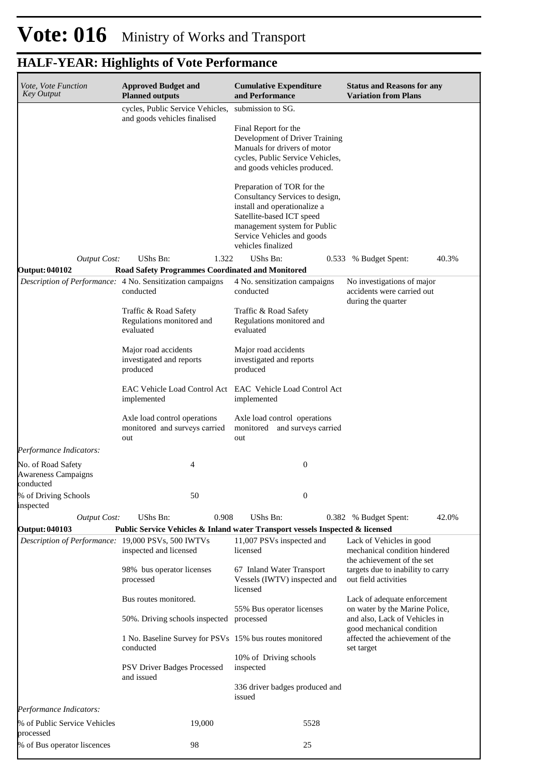| Vote, Vote Function<br><b>Key Output</b>                                    | <b>Approved Budget and</b><br><b>Planned outputs</b>                                                    | <b>Cumulative Expenditure</b><br>and Performance                                                                                                                                                               | <b>Status and Reasons for any</b><br><b>Variation from Plans</b>                             |
|-----------------------------------------------------------------------------|---------------------------------------------------------------------------------------------------------|----------------------------------------------------------------------------------------------------------------------------------------------------------------------------------------------------------------|----------------------------------------------------------------------------------------------|
|                                                                             | cycles, Public Service Vehicles,                                                                        | submission to SG.                                                                                                                                                                                              |                                                                                              |
|                                                                             | and goods vehicles finalised                                                                            | Final Report for the<br>Development of Driver Training<br>Manuals for drivers of motor<br>cycles, Public Service Vehicles,<br>and goods vehicles produced.                                                     |                                                                                              |
|                                                                             |                                                                                                         | Preparation of TOR for the<br>Consultancy Services to design,<br>install and operationalize a<br>Satellite-based ICT speed<br>management system for Public<br>Service Vehicles and goods<br>vehicles finalized |                                                                                              |
| <b>Output Cost:</b>                                                         | UShs Bn:<br>1.322                                                                                       | UShs Bn:                                                                                                                                                                                                       | 0.533 % Budget Spent:<br>40.3%                                                               |
| <b>Output: 040102</b>                                                       | <b>Road Safety Programmes Coordinated and Monitored</b>                                                 |                                                                                                                                                                                                                |                                                                                              |
|                                                                             | Description of Performance: 4 No. Sensitization campaigns<br>conducted                                  | 4 No. sensitization campaigns<br>conducted                                                                                                                                                                     | No investigations of major<br>accidents were carried out<br>during the quarter               |
|                                                                             | Traffic & Road Safety<br>Regulations monitored and<br>evaluated                                         | Traffic & Road Safety<br>Regulations monitored and<br>evaluated                                                                                                                                                |                                                                                              |
|                                                                             | Major road accidents<br>investigated and reports<br>produced                                            | Major road accidents<br>investigated and reports<br>produced                                                                                                                                                   |                                                                                              |
|                                                                             | implemented                                                                                             | EAC Vehicle Load Control Act EAC Vehicle Load Control Act<br>implemented                                                                                                                                       |                                                                                              |
|                                                                             | Axle load control operations<br>monitored and surveys carried<br>out                                    | Axle load control operations<br>monitored and surveys carried<br>out                                                                                                                                           |                                                                                              |
| Performance Indicators:                                                     |                                                                                                         |                                                                                                                                                                                                                |                                                                                              |
| No. of Road Safety<br><b>Awareness Campaigns</b><br>conducted               | 4                                                                                                       | $\boldsymbol{0}$                                                                                                                                                                                               |                                                                                              |
| % of Driving Schools<br>inspected                                           | 50                                                                                                      | $\overline{0}$                                                                                                                                                                                                 |                                                                                              |
| <b>Output Cost:</b>                                                         | 0.908<br>UShs Bn:                                                                                       | UShs Bn:                                                                                                                                                                                                       | 42.0%<br>0.382 % Budget Spent:                                                               |
| <b>Output: 040103</b><br>Description of Performance: 19,000 PSVs, 500 IWTVs | Public Service Vehicles & Inland water Transport vessels Inspected & licensed<br>inspected and licensed | 11,007 PSVs inspected and<br>licensed                                                                                                                                                                          | Lack of Vehicles in good<br>mechanical condition hindered<br>the achievement of the set      |
|                                                                             | 98% bus operator licenses<br>processed                                                                  | 67 Inland Water Transport<br>Vessels (IWTV) inspected and<br>licensed                                                                                                                                          | targets due to inability to carry<br>out field activities                                    |
|                                                                             | Bus routes monitored.                                                                                   |                                                                                                                                                                                                                | Lack of adequate enforcement                                                                 |
|                                                                             | 50%. Driving schools inspected                                                                          | 55% Bus operator licenses<br>processed                                                                                                                                                                         | on water by the Marine Police,<br>and also, Lack of Vehicles in<br>good mechanical condition |
|                                                                             | 1 No. Baseline Survey for PSVs 15% bus routes monitored<br>conducted                                    |                                                                                                                                                                                                                | affected the achievement of the<br>set target                                                |
|                                                                             | <b>PSV Driver Badges Processed</b><br>and issued                                                        | 10% of Driving schools<br>inspected                                                                                                                                                                            |                                                                                              |
|                                                                             |                                                                                                         | 336 driver badges produced and<br>issued                                                                                                                                                                       |                                                                                              |
| Performance Indicators:                                                     |                                                                                                         |                                                                                                                                                                                                                |                                                                                              |
| % of Public Service Vehicles<br>processed                                   | 19,000                                                                                                  | 5528                                                                                                                                                                                                           |                                                                                              |
| % of Bus operator liscences                                                 | 98                                                                                                      | 25                                                                                                                                                                                                             |                                                                                              |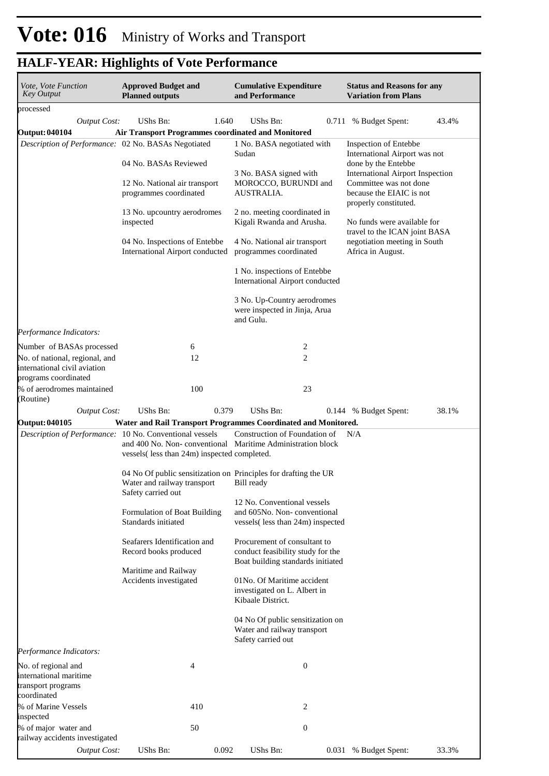| Vote, Vote Function<br><b>Key Output</b>                                               | <b>Approved Budget and</b><br><b>Planned outputs</b>                                                    | <b>Cumulative Expenditure</b><br>and Performance                                                       | <b>Status and Reasons for any</b><br><b>Variation from Plans</b>                         |  |  |
|----------------------------------------------------------------------------------------|---------------------------------------------------------------------------------------------------------|--------------------------------------------------------------------------------------------------------|------------------------------------------------------------------------------------------|--|--|
| processed                                                                              |                                                                                                         |                                                                                                        |                                                                                          |  |  |
| <b>Output Cost:</b>                                                                    | UShs Bn:<br>1.640                                                                                       | UShs Bn:                                                                                               | 43.4%<br>0.711 % Budget Spent:                                                           |  |  |
| <b>Output: 040104</b>                                                                  | <b>Air Transport Programmes coordinated and Monitored</b>                                               |                                                                                                        |                                                                                          |  |  |
| Description of Performance: 02 No. BASAs Negotiated                                    | 04 No. BASAs Reviewed                                                                                   | 1 No. BASA negotiated with<br>Sudan                                                                    | Inspection of Entebbe<br>International Airport was not                                   |  |  |
|                                                                                        |                                                                                                         | 3 No. BASA signed with<br>MOROCCO, BURUNDI and                                                         | done by the Entebbe<br><b>International Airport Inspection</b><br>Committee was not done |  |  |
|                                                                                        | 12 No. National air transport<br>programmes coordinated                                                 | AUSTRALIA.                                                                                             | because the EIAIC is not<br>properly constituted.                                        |  |  |
|                                                                                        | 13 No. upcountry aerodromes<br>inspected                                                                | 2 no. meeting coordinated in<br>Kigali Rwanda and Arusha.                                              | No funds were available for<br>travel to the ICAN joint BASA                             |  |  |
|                                                                                        | 04 No. Inspections of Entebbe<br>International Airport conducted                                        | 4 No. National air transport<br>programmes coordinated                                                 | negotiation meeting in South<br>Africa in August.                                        |  |  |
|                                                                                        |                                                                                                         | 1 No. inspections of Entebbe<br>International Airport conducted                                        |                                                                                          |  |  |
|                                                                                        |                                                                                                         | 3 No. Up-Country aerodromes<br>were inspected in Jinja, Arua<br>and Gulu.                              |                                                                                          |  |  |
| Performance Indicators:                                                                |                                                                                                         |                                                                                                        |                                                                                          |  |  |
| Number of BASAs processed                                                              | 6                                                                                                       | 2                                                                                                      |                                                                                          |  |  |
| No. of national, regional, and<br>international civil aviation<br>programs coordinated | 12                                                                                                      | 2                                                                                                      |                                                                                          |  |  |
| % of aerodromes maintained                                                             | 100                                                                                                     | 23                                                                                                     |                                                                                          |  |  |
| (Routine)                                                                              |                                                                                                         |                                                                                                        |                                                                                          |  |  |
| <b>Output Cost:</b>                                                                    | UShs Bn:<br>0.379                                                                                       | UShs Bn:                                                                                               | 38.1%<br>0.144 % Budget Spent:                                                           |  |  |
| <b>Output: 040105</b>                                                                  |                                                                                                         | Water and Rail Transport Programmes Coordinated and Monitored.                                         |                                                                                          |  |  |
|                                                                                        | Description of Performance: 10 No. Conventional vessels<br>vessels (less than 24m) inspected completed. | Construction of Foundation of<br>and 400 No. Non-conventional Maritime Administration block            | N/A                                                                                      |  |  |
|                                                                                        | Water and railway transport<br>Safety carried out                                                       | 04 No Of public sensitization on Principles for drafting the UR<br>Bill ready                          |                                                                                          |  |  |
|                                                                                        | Formulation of Boat Building<br>Standards initiated                                                     | 12 No. Conventional vessels<br>and 605No. Non-conventional<br>vessels(less than 24m) inspected         |                                                                                          |  |  |
|                                                                                        | Seafarers Identification and<br>Record books produced                                                   | Procurement of consultant to<br>conduct feasibility study for the<br>Boat building standards initiated |                                                                                          |  |  |
|                                                                                        | Maritime and Railway<br>Accidents investigated                                                          | 01No. Of Maritime accident<br>investigated on L. Albert in<br>Kibaale District.                        |                                                                                          |  |  |
|                                                                                        |                                                                                                         | 04 No Of public sensitization on<br>Water and railway transport<br>Safety carried out                  |                                                                                          |  |  |
| Performance Indicators:                                                                |                                                                                                         |                                                                                                        |                                                                                          |  |  |
| No. of regional and<br>international maritime<br>transport programs<br>coordinated     | 4                                                                                                       | $\mathbf{0}$                                                                                           |                                                                                          |  |  |
| % of Marine Vessels<br>inspected                                                       | 410                                                                                                     | 2                                                                                                      |                                                                                          |  |  |
| % of major water and<br>railway accidents investigated                                 | 50                                                                                                      | 0                                                                                                      |                                                                                          |  |  |
| <b>Output Cost:</b>                                                                    | UShs Bn:<br>0.092                                                                                       | UShs Bn:                                                                                               | 0.031 % Budget Spent:<br>33.3%                                                           |  |  |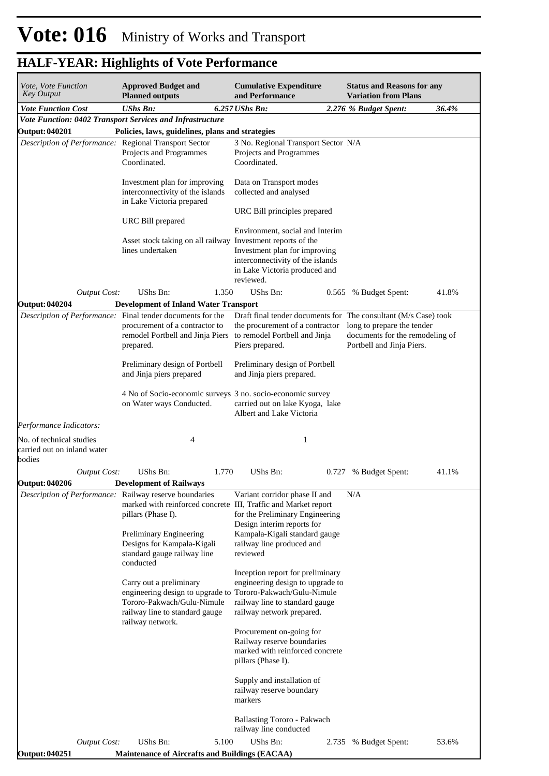| Vote, Vote Function<br>Key Output                                 | <b>Approved Budget and</b><br><b>Planned outputs</b>                                                                                                                                                                                                | <b>Cumulative Expenditure</b><br>and Performance                                                                                                                         | <b>Status and Reasons for any</b><br><b>Variation from Plans</b>                           |
|-------------------------------------------------------------------|-----------------------------------------------------------------------------------------------------------------------------------------------------------------------------------------------------------------------------------------------------|--------------------------------------------------------------------------------------------------------------------------------------------------------------------------|--------------------------------------------------------------------------------------------|
| <b>Vote Function Cost</b>                                         | <b>UShs Bn:</b>                                                                                                                                                                                                                                     | 6.257 UShs Bn:                                                                                                                                                           | 36.4%<br>2.276 % Budget Spent:                                                             |
|                                                                   | Vote Function: 0402 Transport Services and Infrastructure                                                                                                                                                                                           |                                                                                                                                                                          |                                                                                            |
| Output: 040201                                                    | Policies, laws, guidelines, plans and strategies                                                                                                                                                                                                    |                                                                                                                                                                          |                                                                                            |
| Description of Performance: Regional Transport Sector             | Projects and Programmes<br>Coordinated.                                                                                                                                                                                                             | 3 No. Regional Transport Sector N/A<br>Projects and Programmes<br>Coordinated.                                                                                           |                                                                                            |
|                                                                   | Investment plan for improving<br>interconnectivity of the islands<br>in Lake Victoria prepared                                                                                                                                                      | Data on Transport modes<br>collected and analysed                                                                                                                        |                                                                                            |
|                                                                   | URC Bill prepared                                                                                                                                                                                                                                   | URC Bill principles prepared                                                                                                                                             |                                                                                            |
|                                                                   | Asset stock taking on all railway Investment reports of the<br>lines undertaken                                                                                                                                                                     | Environment, social and Interim<br>Investment plan for improving<br>interconnectivity of the islands<br>in Lake Victoria produced and<br>reviewed.                       |                                                                                            |
| <b>Output Cost:</b>                                               | UShs Bn:<br>1.350                                                                                                                                                                                                                                   | UShs Bn:                                                                                                                                                                 | 41.8%<br>0.565 % Budget Spent:                                                             |
| <b>Output: 040204</b>                                             | <b>Development of Inland Water Transport</b>                                                                                                                                                                                                        |                                                                                                                                                                          |                                                                                            |
|                                                                   | Description of Performance: Final tender documents for the<br>procurement of a contractor to<br>remodel Portbell and Jinja Piers<br>prepared.                                                                                                       | Draft final tender documents for The consultant (M/s Case) took<br>the procurement of a contractor<br>to remodel Portbell and Jinja<br>Piers prepared.                   | long to prepare the tender<br>documents for the remodeling of<br>Portbell and Jinja Piers. |
|                                                                   | Preliminary design of Portbell<br>and Jinja piers prepared                                                                                                                                                                                          | Preliminary design of Portbell<br>and Jinja piers prepared.                                                                                                              |                                                                                            |
|                                                                   | 4 No of Socio-economic surveys 3 no. socio-economic survey<br>on Water ways Conducted.                                                                                                                                                              | carried out on lake Kyoga, lake<br>Albert and Lake Victoria                                                                                                              |                                                                                            |
| Performance Indicators:                                           |                                                                                                                                                                                                                                                     |                                                                                                                                                                          |                                                                                            |
| No. of technical studies<br>carried out on inland water<br>bodies | 4                                                                                                                                                                                                                                                   | 1                                                                                                                                                                        |                                                                                            |
| <b>Output Cost:</b>                                               | UShs Bn:<br>1.770                                                                                                                                                                                                                                   | UShs Bn:                                                                                                                                                                 | 41.1%<br>0.727 % Budget Spent:                                                             |
| <b>Output: 040206</b>                                             | <b>Development of Railways</b>                                                                                                                                                                                                                      |                                                                                                                                                                          |                                                                                            |
|                                                                   | Description of Performance: Railway reserve boundaries<br>marked with reinforced concrete III, Traffic and Market report<br>pillars (Phase I).<br>Preliminary Engineering<br>Designs for Kampala-Kigali<br>standard gauge railway line<br>conducted | Variant corridor phase II and<br>for the Preliminary Engineering<br>Design interim reports for<br>Kampala-Kigali standard gauge<br>railway line produced and<br>reviewed | N/A                                                                                        |
|                                                                   | Carry out a preliminary<br>engineering design to upgrade to Tororo-Pakwach/Gulu-Nimule<br>Tororo-Pakwach/Gulu-Nimule<br>railway line to standard gauge<br>railway network.                                                                          | Inception report for preliminary<br>engineering design to upgrade to<br>railway line to standard gauge<br>railway network prepared.                                      |                                                                                            |
|                                                                   |                                                                                                                                                                                                                                                     | Procurement on-going for<br>Railway reserve boundaries<br>marked with reinforced concrete<br>pillars (Phase I).                                                          |                                                                                            |
|                                                                   |                                                                                                                                                                                                                                                     | Supply and installation of<br>railway reserve boundary<br>markers                                                                                                        |                                                                                            |
|                                                                   |                                                                                                                                                                                                                                                     | <b>Ballasting Tororo - Pakwach</b><br>railway line conducted                                                                                                             |                                                                                            |
| <b>Output Cost:</b><br><b>Output: 040251</b>                      | UShs Bn:<br>5.100<br><b>Maintenance of Aircrafts and Buildings (EACAA)</b>                                                                                                                                                                          | UShs Bn:<br>2.735                                                                                                                                                        | 53.6%<br>% Budget Spent:                                                                   |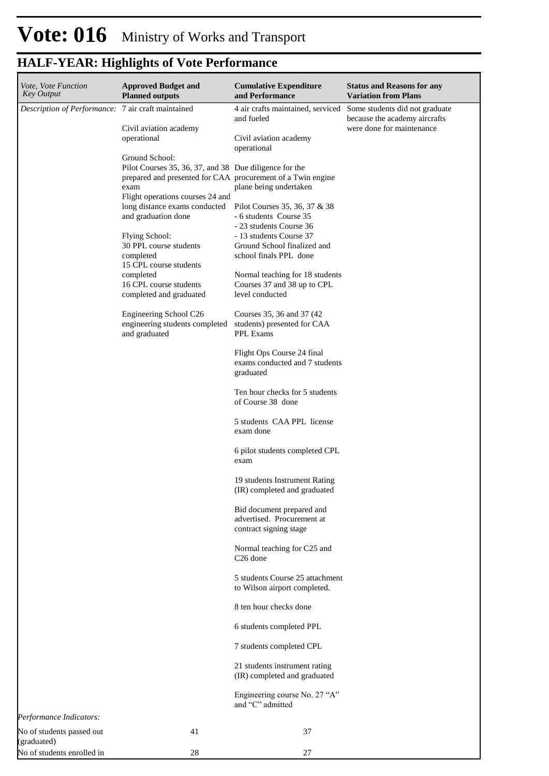| Vote, Vote Function<br><b>Key Output</b>             | <b>Approved Budget and</b><br><b>Planned outputs</b>                                                                                            | <b>Cumulative Expenditure</b><br>and Performance                                   | <b>Status and Reasons for any</b><br><b>Variation from Plans</b> |
|------------------------------------------------------|-------------------------------------------------------------------------------------------------------------------------------------------------|------------------------------------------------------------------------------------|------------------------------------------------------------------|
| Description of Performance: 7 air craft maintained   |                                                                                                                                                 | 4 air crafts maintained, serviced<br>and fueled                                    | Some students did not graduate<br>because the academy aircrafts  |
|                                                      | Civil aviation academy<br>operational                                                                                                           | Civil aviation academy<br>operational                                              | were done for maintenance                                        |
|                                                      | Ground School:<br>Pilot Courses 35, 36, 37, and 38 Due diligence for the<br>prepared and presented for CAA procurement of a Twin engine<br>exam | plane being undertaken                                                             |                                                                  |
|                                                      | Flight operations courses 24 and<br>long distance exams conducted<br>and graduation done                                                        | Pilot Courses 35, 36, 37 & 38<br>- 6 students Course 35<br>- 23 students Course 36 |                                                                  |
|                                                      | Flying School:<br>30 PPL course students<br>completed<br>15 CPL course students                                                                 | - 13 students Course 37<br>Ground School finalized and<br>school finals PPL done   |                                                                  |
|                                                      | completed<br>16 CPL course students<br>completed and graduated                                                                                  | Normal teaching for 18 students<br>Courses 37 and 38 up to CPL<br>level conducted  |                                                                  |
|                                                      | Engineering School C26<br>engineering students completed<br>and graduated                                                                       | Courses 35, 36 and 37 (42)<br>students) presented for CAA<br><b>PPL Exams</b>      |                                                                  |
|                                                      |                                                                                                                                                 | Flight Ops Course 24 final<br>exams conducted and 7 students<br>graduated          |                                                                  |
|                                                      |                                                                                                                                                 | Ten hour checks for 5 students<br>of Course 38 done                                |                                                                  |
|                                                      |                                                                                                                                                 | 5 students CAA PPL license<br>exam done                                            |                                                                  |
|                                                      |                                                                                                                                                 | 6 pilot students completed CPL<br>exam                                             |                                                                  |
|                                                      |                                                                                                                                                 | 19 students Instrument Rating<br>(IR) completed and graduated                      |                                                                  |
|                                                      |                                                                                                                                                 | Bid document prepared and<br>advertised. Procurement at<br>contract signing stage  |                                                                  |
|                                                      |                                                                                                                                                 | Normal teaching for C25 and<br>C <sub>26</sub> done                                |                                                                  |
|                                                      |                                                                                                                                                 | 5 students Course 25 attachment<br>to Wilson airport completed.                    |                                                                  |
|                                                      |                                                                                                                                                 | 8 ten hour checks done                                                             |                                                                  |
|                                                      |                                                                                                                                                 | 6 students completed PPL                                                           |                                                                  |
|                                                      |                                                                                                                                                 | 7 students completed CPL                                                           |                                                                  |
|                                                      |                                                                                                                                                 | 21 students instrument rating<br>(IR) completed and graduated                      |                                                                  |
|                                                      |                                                                                                                                                 | Engineering course No. 27 "A"<br>and "C" admitted                                  |                                                                  |
| Performance Indicators:<br>No of students passed out | 41                                                                                                                                              | 37                                                                                 |                                                                  |
| (graduated)<br>No of students enrolled in            | 28                                                                                                                                              | 27                                                                                 |                                                                  |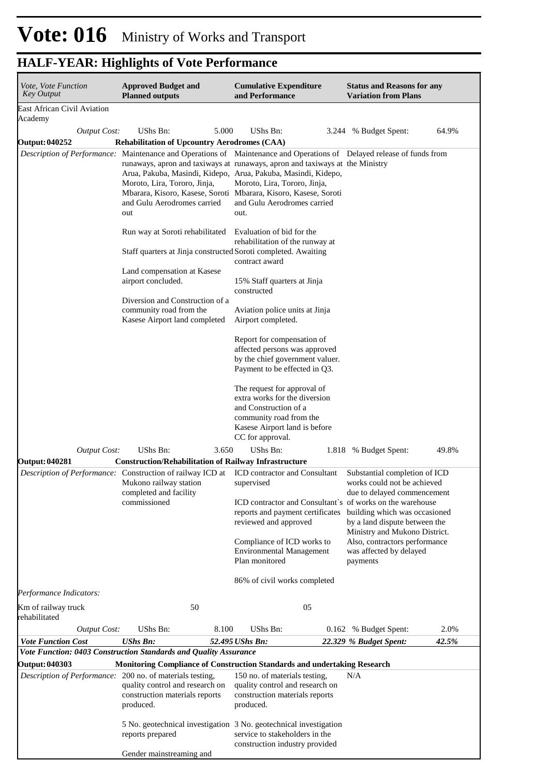| <i>Vote, Vote Function</i><br><b>Key Output</b>                             | <b>Approved Budget and</b><br><b>Planned outputs</b>                                                                                                                                           | <b>Cumulative Expenditure</b><br>and Performance                                                                                                                                                                                                                                                                                                                                                                 | <b>Status and Reasons for any</b><br><b>Variation from Plans</b>                                                                       |       |
|-----------------------------------------------------------------------------|------------------------------------------------------------------------------------------------------------------------------------------------------------------------------------------------|------------------------------------------------------------------------------------------------------------------------------------------------------------------------------------------------------------------------------------------------------------------------------------------------------------------------------------------------------------------------------------------------------------------|----------------------------------------------------------------------------------------------------------------------------------------|-------|
| <b>East African Civil Aviation</b>                                          |                                                                                                                                                                                                |                                                                                                                                                                                                                                                                                                                                                                                                                  |                                                                                                                                        |       |
| Academy                                                                     | UShs Bn:                                                                                                                                                                                       | 5.000<br>UShs Bn:                                                                                                                                                                                                                                                                                                                                                                                                |                                                                                                                                        | 64.9% |
| <b>Output Cost:</b><br><b>Output: 040252</b>                                | <b>Rehabilitation of Upcountry Aerodromes (CAA)</b>                                                                                                                                            | 3.244                                                                                                                                                                                                                                                                                                                                                                                                            | % Budget Spent:                                                                                                                        |       |
|                                                                             | Moroto, Lira, Tororo, Jinja,<br>and Gulu Aerodromes carried<br>out                                                                                                                             | Description of Performance: Maintenance and Operations of Maintenance and Operations of Delayed release of funds from<br>runaways, apron and taxiways at runaways, apron and taxiways at the Ministry<br>Arua, Pakuba, Masindi, Kidepo, Arua, Pakuba, Masindi, Kidepo,<br>Moroto, Lira, Tororo, Jinja,<br>Mbarara, Kisoro, Kasese, Soroti Mbarara, Kisoro, Kasese, Soroti<br>and Gulu Aerodromes carried<br>out. |                                                                                                                                        |       |
|                                                                             | Run way at Soroti rehabilitated                                                                                                                                                                | Evaluation of bid for the<br>rehabilitation of the runway at<br>Staff quarters at Jinja constructed Soroti completed. Awaiting<br>contract award                                                                                                                                                                                                                                                                 |                                                                                                                                        |       |
|                                                                             | Land compensation at Kasese<br>airport concluded.                                                                                                                                              | 15% Staff quarters at Jinja<br>constructed                                                                                                                                                                                                                                                                                                                                                                       |                                                                                                                                        |       |
|                                                                             | Diversion and Construction of a<br>community road from the<br>Kasese Airport land completed                                                                                                    | Aviation police units at Jinja<br>Airport completed.                                                                                                                                                                                                                                                                                                                                                             |                                                                                                                                        |       |
|                                                                             |                                                                                                                                                                                                | Report for compensation of<br>affected persons was approved<br>by the chief government valuer.<br>Payment to be effected in Q3.                                                                                                                                                                                                                                                                                  |                                                                                                                                        |       |
|                                                                             |                                                                                                                                                                                                | The request for approval of<br>extra works for the diversion<br>and Construction of a<br>community road from the<br>Kasese Airport land is before<br>CC for approval.                                                                                                                                                                                                                                            |                                                                                                                                        |       |
| <b>Output Cost:</b>                                                         | UShs Bn:                                                                                                                                                                                       | 3.650<br>UShs Bn:                                                                                                                                                                                                                                                                                                                                                                                                | 1.818 % Budget Spent:                                                                                                                  | 49.8% |
| <b>Output: 040281</b>                                                       | <b>Construction/Rehabilitation of Railway Infrastructure</b><br>Description of Performance: Construction of railway ICD at<br>Mukono railway station<br>completed and facility<br>commissioned | <b>ICD</b> contractor and Consultant<br>supervised<br>ICD contractor and Consultant's of works on the warehouse<br>reports and payment certificates                                                                                                                                                                                                                                                              | Substantial completion of ICD<br>works could not be achieved<br>due to delayed commencement<br>building which was occasioned           |       |
|                                                                             |                                                                                                                                                                                                | reviewed and approved<br>Compliance of ICD works to<br><b>Environmental Management</b><br>Plan monitored                                                                                                                                                                                                                                                                                                         | by a land dispute between the<br>Ministry and Mukono District.<br>Also, contractors performance<br>was affected by delayed<br>payments |       |
|                                                                             |                                                                                                                                                                                                | 86% of civil works completed                                                                                                                                                                                                                                                                                                                                                                                     |                                                                                                                                        |       |
| Performance Indicators:                                                     |                                                                                                                                                                                                |                                                                                                                                                                                                                                                                                                                                                                                                                  |                                                                                                                                        |       |
| Km of railway truck<br>rehabilitated                                        | 50                                                                                                                                                                                             | 05                                                                                                                                                                                                                                                                                                                                                                                                               |                                                                                                                                        |       |
| <b>Output Cost:</b>                                                         | UShs Bn:                                                                                                                                                                                       | 8.100<br>UShs Bn:                                                                                                                                                                                                                                                                                                                                                                                                | 0.162 % Budget Spent:                                                                                                                  | 2.0%  |
| <b>Vote Function Cost</b>                                                   | <b>UShs Bn:</b>                                                                                                                                                                                | 52.495 UShs Bn:                                                                                                                                                                                                                                                                                                                                                                                                  | 22.329 % Budget Spent:                                                                                                                 | 42.5% |
|                                                                             | Vote Function: 0403 Construction Standards and Quality Assurance                                                                                                                               |                                                                                                                                                                                                                                                                                                                                                                                                                  |                                                                                                                                        |       |
| Output: 040303<br>Description of Performance: 200 no. of materials testing, | quality control and research on<br>construction materials reports<br>produced.                                                                                                                 | Monitoring Compliance of Construction Standards and undertaking Research<br>150 no. of materials testing,<br>quality control and research on<br>construction materials reports<br>produced.                                                                                                                                                                                                                      | N/A                                                                                                                                    |       |
|                                                                             | reports prepared                                                                                                                                                                               | 5 No. geotechnical investigation 3 No. geotechnical investigation<br>service to stakeholders in the<br>construction industry provided                                                                                                                                                                                                                                                                            |                                                                                                                                        |       |
|                                                                             | Gender mainstreaming and                                                                                                                                                                       |                                                                                                                                                                                                                                                                                                                                                                                                                  |                                                                                                                                        |       |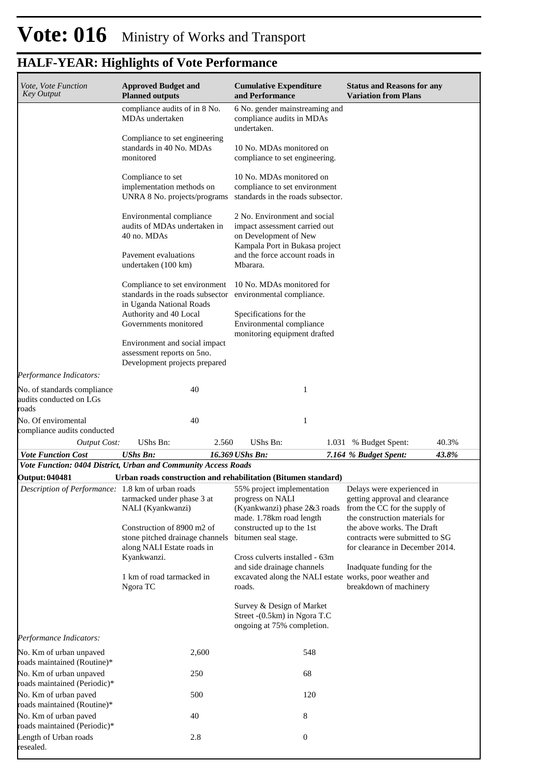| Vote, Vote Function<br><b>Key Output</b>                        | <b>Approved Budget and</b><br><b>Planned outputs</b>                                                                                             | <b>Cumulative Expenditure</b><br>and Performance                                                                                             | <b>Status and Reasons for any</b><br><b>Variation from Plans</b>                                                                |
|-----------------------------------------------------------------|--------------------------------------------------------------------------------------------------------------------------------------------------|----------------------------------------------------------------------------------------------------------------------------------------------|---------------------------------------------------------------------------------------------------------------------------------|
|                                                                 | compliance audits of in 8 No.<br>MDAs undertaken                                                                                                 | 6 No. gender mainstreaming and<br>compliance audits in MDAs<br>undertaken.                                                                   |                                                                                                                                 |
|                                                                 | Compliance to set engineering<br>standards in 40 No. MDAs<br>monitored                                                                           | 10 No. MDAs monitored on<br>compliance to set engineering.                                                                                   |                                                                                                                                 |
|                                                                 | Compliance to set<br>implementation methods on<br>UNRA 8 No. projects/programs                                                                   | 10 No. MDAs monitored on<br>compliance to set environment<br>standards in the roads subsector.                                               |                                                                                                                                 |
|                                                                 | Environmental compliance<br>audits of MDAs undertaken in<br>40 no. MDAs                                                                          | 2 No. Environment and social<br>impact assessment carried out<br>on Development of New                                                       |                                                                                                                                 |
|                                                                 | Pavement evaluations<br>undertaken (100 km)                                                                                                      | Kampala Port in Bukasa project<br>and the force account roads in<br>Mbarara.                                                                 |                                                                                                                                 |
|                                                                 | Compliance to set environment<br>standards in the roads subsector<br>in Uganda National Roads<br>Authority and 40 Local<br>Governments monitored | 10 No. MDAs monitored for<br>environmental compliance.<br>Specifications for the<br>Environmental compliance<br>monitoring equipment drafted |                                                                                                                                 |
|                                                                 | Environment and social impact<br>assessment reports on 5no.<br>Development projects prepared                                                     |                                                                                                                                              |                                                                                                                                 |
| Performance Indicators:                                         |                                                                                                                                                  |                                                                                                                                              |                                                                                                                                 |
| No. of standards compliance<br>audits conducted on LGs<br>roads | 40                                                                                                                                               | 1                                                                                                                                            |                                                                                                                                 |
| No. Of enviromental<br>compliance audits conducted              | 40                                                                                                                                               | 1                                                                                                                                            |                                                                                                                                 |
| <b>Output Cost:</b>                                             | UShs Bn:<br>2.560                                                                                                                                | <b>UShs Bn:</b><br>1.031                                                                                                                     | 40.3%<br>% Budget Spent:                                                                                                        |
| <b>Vote Function Cost</b>                                       | <b>UShs Bn:</b><br>Vote Function: 0404 District, Urban and Community Access Roads                                                                | 16.369 UShs Bn:                                                                                                                              | 43.8%<br>7.164 % Budget Spent:                                                                                                  |
| <b>Output: 040481</b>                                           |                                                                                                                                                  | Urban roads construction and rehabilitation (Bitumen standard)                                                                               |                                                                                                                                 |
|                                                                 | Description of Performance: 1.8 km of urban roads 55% project implementation<br>tarmacked under phase 3 at<br>NALI (Kyankwanzi)                  | progress on NALI<br>(Kyankwanzi) phase 2&3 roads<br>made. 1.78km road length                                                                 | Delays were experienced in<br>getting approval and clearance<br>from the CC for the supply of<br>the construction materials for |
|                                                                 | Construction of 8900 m2 of<br>stone pitched drainage channels<br>along NALI Estate roads in<br>Kyankwanzi.                                       | constructed up to the 1st<br>bitumen seal stage.<br>Cross culverts installed - 63m                                                           | the above works. The Draft<br>contracts were submitted to SG<br>for clearance in December 2014.                                 |
|                                                                 | 1 km of road tarmacked in<br>Ngora TC                                                                                                            | and side drainage channels<br>excavated along the NALI estate works, poor weather and<br>roads.                                              | Inadquate funding for the<br>breakdown of machinery                                                                             |
|                                                                 |                                                                                                                                                  | Survey & Design of Market<br>Street - (0.5km) in Ngora T.C<br>ongoing at 75% completion.                                                     |                                                                                                                                 |
| Performance Indicators:                                         |                                                                                                                                                  |                                                                                                                                              |                                                                                                                                 |
| No. Km of urban unpaved<br>roads maintained (Routine)*          | 2,600                                                                                                                                            | 548                                                                                                                                          |                                                                                                                                 |
| No. Km of urban unpaved<br>roads maintained (Periodic)*         | 250                                                                                                                                              | 68                                                                                                                                           |                                                                                                                                 |
| No. Km of urban paved<br>roads maintained (Routine)*            | 500                                                                                                                                              | 120                                                                                                                                          |                                                                                                                                 |
| No. Km of urban paved<br>roads maintained (Periodic)*           | 40                                                                                                                                               | 8                                                                                                                                            |                                                                                                                                 |
| Length of Urban roads<br>resealed.                              | 2.8                                                                                                                                              | $\boldsymbol{0}$                                                                                                                             |                                                                                                                                 |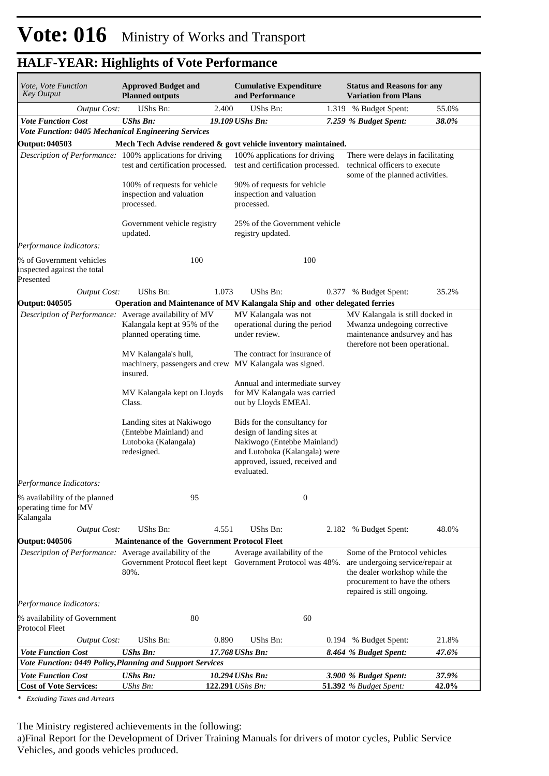| <i>Vote, Vote Function</i><br><b>Key Output</b>                      | <b>Approved Budget and</b><br><b>Planned outputs</b>                                       |       | <b>Cumulative Expenditure</b><br>and Performance                                                                                                                           |       | <b>Status and Reasons for any</b><br><b>Variation from Plans</b>                                                                                                   |       |
|----------------------------------------------------------------------|--------------------------------------------------------------------------------------------|-------|----------------------------------------------------------------------------------------------------------------------------------------------------------------------------|-------|--------------------------------------------------------------------------------------------------------------------------------------------------------------------|-------|
| <b>Output Cost:</b>                                                  | <b>UShs Bn:</b>                                                                            | 2.400 | UShs Bn:                                                                                                                                                                   | 1.319 | % Budget Spent:                                                                                                                                                    | 55.0% |
| <b>Vote Function Cost</b>                                            | <b>UShs Bn:</b>                                                                            |       | 19.109 UShs Bn:                                                                                                                                                            |       | 7.259 % Budget Spent:                                                                                                                                              | 38.0% |
| Vote Function: 0405 Mechanical Engineering Services                  |                                                                                            |       |                                                                                                                                                                            |       |                                                                                                                                                                    |       |
| <b>Output: 040503</b>                                                |                                                                                            |       | Mech Tech Advise rendered & govt vehicle inventory maintained.                                                                                                             |       |                                                                                                                                                                    |       |
| Description of Performance: 100% applications for driving            | test and certification processed.                                                          |       | 100% applications for driving<br>test and certification processed.                                                                                                         |       | There were delays in facilitating<br>technical officers to execute<br>some of the planned activities.                                                              |       |
|                                                                      | 100% of requests for vehicle<br>inspection and valuation<br>processed.                     |       | 90% of requests for vehicle<br>inspection and valuation<br>processed.                                                                                                      |       |                                                                                                                                                                    |       |
|                                                                      | Government vehicle registry<br>updated.                                                    |       | 25% of the Government vehicle<br>registry updated.                                                                                                                         |       |                                                                                                                                                                    |       |
| Performance Indicators:                                              |                                                                                            |       |                                                                                                                                                                            |       |                                                                                                                                                                    |       |
| % of Government vehicles<br>inspected against the total<br>Presented | 100                                                                                        |       | 100                                                                                                                                                                        |       |                                                                                                                                                                    |       |
| <b>Output Cost:</b>                                                  | UShs Bn:                                                                                   | 1.073 | UShs Bn:                                                                                                                                                                   |       | 0.377 % Budget Spent:                                                                                                                                              | 35.2% |
| Output: 040505                                                       |                                                                                            |       | Operation and Maintenance of MV Kalangala Ship and other delegated ferries                                                                                                 |       |                                                                                                                                                                    |       |
| Description of Performance: Average availability of MV               | Kalangala kept at 95% of the<br>planned operating time.                                    |       | MV Kalangala was not<br>operational during the period<br>under review.                                                                                                     |       | MV Kalangala is still docked in<br>Mwanza undegoing corrective<br>maintenance andsurvey and has<br>therefore not been operational.                                 |       |
|                                                                      | MV Kalangala's hull,<br>insured.                                                           |       | The contract for insurance of<br>machinery, passengers and crew MV Kalangala was signed.                                                                                   |       |                                                                                                                                                                    |       |
|                                                                      | MV Kalangala kept on Lloyds<br>Class.                                                      |       | Annual and intermediate survey<br>for MV Kalangala was carried<br>out by Lloyds EMEAl.                                                                                     |       |                                                                                                                                                                    |       |
|                                                                      | Landing sites at Nakiwogo<br>(Entebbe Mainland) and<br>Lutoboka (Kalangala)<br>redesigned. |       | Bids for the consultancy for<br>design of landing sites at<br>Nakiwogo (Entebbe Mainland)<br>and Lutoboka (Kalangala) were<br>approved, issued, received and<br>evaluated. |       |                                                                                                                                                                    |       |
| Performance Indicators:                                              |                                                                                            |       |                                                                                                                                                                            |       |                                                                                                                                                                    |       |
| % availability of the planned<br>operating time for MV<br>Kalangala  | 95                                                                                         |       | $\boldsymbol{0}$                                                                                                                                                           |       |                                                                                                                                                                    |       |
| <b>Output Cost:</b>                                                  | UShs Bn:                                                                                   | 4.551 | UShs Bn:                                                                                                                                                                   |       | 2.182 % Budget Spent:                                                                                                                                              | 48.0% |
| <b>Output: 040506</b>                                                | <b>Maintenance of the Government Protocol Fleet</b>                                        |       |                                                                                                                                                                            |       |                                                                                                                                                                    |       |
| Description of Performance: Average availability of the              | 80%.                                                                                       |       | Average availability of the<br>Government Protocol fleet kept Government Protocol was 48%.                                                                                 |       | Some of the Protocol vehicles<br>are undergoing service/repair at<br>the dealer workshop while the<br>procurement to have the others<br>repaired is still ongoing. |       |
| Performance Indicators:                                              |                                                                                            |       |                                                                                                                                                                            |       |                                                                                                                                                                    |       |
| % availability of Government<br>Protocol Fleet                       | 80                                                                                         |       | 60                                                                                                                                                                         |       |                                                                                                                                                                    |       |
| <b>Output Cost:</b>                                                  | UShs Bn:                                                                                   | 0.890 | UShs Bn:                                                                                                                                                                   |       | 0.194 % Budget Spent:                                                                                                                                              | 21.8% |
| <b>Vote Function Cost</b>                                            | <b>UShs Bn:</b>                                                                            |       | 17.768 UShs Bn:                                                                                                                                                            |       | 8.464 % Budget Spent:                                                                                                                                              | 47.6% |
| Vote Function: 0449 Policy, Planning and Support Services            |                                                                                            |       |                                                                                                                                                                            |       |                                                                                                                                                                    |       |
| <b>Vote Function Cost</b>                                            | <b>UShs Bn:</b>                                                                            |       | 10.294 UShs Bn:                                                                                                                                                            |       | 3.900 % Budget Spent:                                                                                                                                              | 37.9% |
| <b>Cost of Vote Services:</b>                                        | UShs Bn:                                                                                   |       | 122.291 UShs Bn:                                                                                                                                                           |       | 51.392 % Budget Spent:                                                                                                                                             | 42.0% |

*\* Excluding Taxes and Arrears*

The Ministry registered achievements in the following:

a) Final Report for the Development of Driver Training Manuals for drivers of motor cycles, Public Service Vehicles, and goods vehicles produced.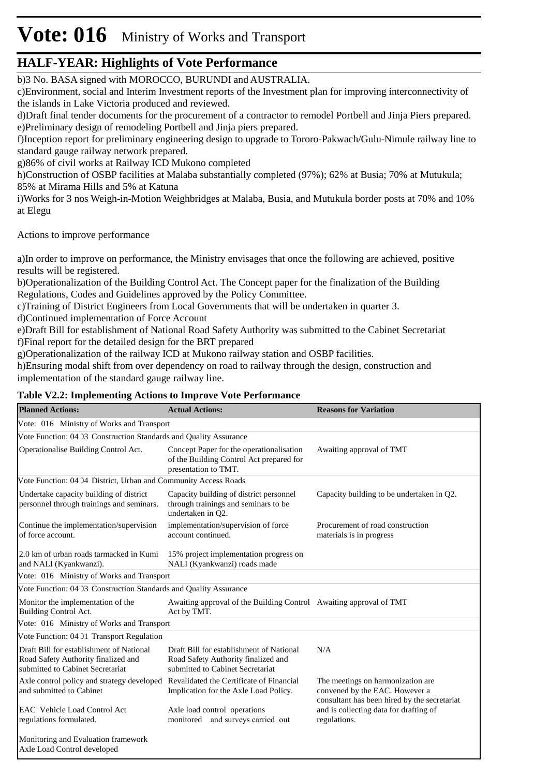# **Vote: 016** Ministry of Works and Transport

### **HALF-YEAR: Highlights of Vote Performance**

b)3 No. BASA signed with MOROCCO, BURUNDI and AUSTRALIA.

c) Environment, social and Interim Investment reports of the Investment plan for improving interconnectivity of the islands in Lake Victoria produced and reviewed.

d) Draft final tender documents for the procurement of a contractor to remodel Portbell and Jinja Piers prepared. e)Preliminary design of remodeling Portbell and Jinja piers prepared.

f)Inception report for preliminary engineering design to upgrade to Tororo-Pakwach/Gulu-Nimule railway line to standard gauge railway network prepared.

g) 86% of civil works at Railway ICD Mukono completed

h)Construction of OSBP facilities at Malaba substantially completed (97%); 62% at Busia; 70% at Mutukula; 85% at Mirama Hills and 5% at Katuna

i)Works for 3 nos Weigh-in-Motion Weighbridges at Malaba, Busia, and Mutukula border posts at 70% and 10% at Elegu

Actions to improve performance

a) In order to improve on performance, the Ministry envisages that once the following are achieved, positive results will be registered.

b) Operationalization of the Building Control Act. The Concept paper for the finalization of the Building Regulations, Codes and Guidelines approved by the Policy Committee.

c) Training of District Engineers from Local Governments that will be undertaken in quarter 3.

d) Continued implementation of Force Account

e) Draft Bill for establishment of National Road Safety Authority was submitted to the Cabinet Secretariat f) Final report for the detailed design for the BRT prepared

g) Operationalization of the railway ICD at Mukono railway station and OSBP facilities.

h) Ensuring modal shift from over dependency on road to railway through the design, construction and implementation of the standard gauge railway line.

#### **Table V2.2: Implementing Actions to Improve Vote Performance**

| <b>Planned Actions:</b>                                                                                             | <b>Actual Actions:</b>                                                                                              | <b>Reasons for Variation</b>                                                                                         |
|---------------------------------------------------------------------------------------------------------------------|---------------------------------------------------------------------------------------------------------------------|----------------------------------------------------------------------------------------------------------------------|
| Vote: 016 Ministry of Works and Transport                                                                           |                                                                                                                     |                                                                                                                      |
| Vote Function: 04 03 Construction Standards and Quality Assurance                                                   |                                                                                                                     |                                                                                                                      |
| Operationalise Building Control Act.                                                                                | Concept Paper for the operationalisation<br>of the Building Control Act prepared for<br>presentation to TMT.        | Awaiting approval of TMT                                                                                             |
| Vote Function: 04 04 District, Urban and Community Access Roads                                                     |                                                                                                                     |                                                                                                                      |
| Undertake capacity building of district<br>personnel through trainings and seminars.                                | Capacity building of district personnel<br>through trainings and seminars to be<br>undertaken in O2.                | Capacity building to be undertaken in Q2.                                                                            |
| Continue the implementation/supervision<br>of force account.                                                        | implementation/supervision of force<br>account continued.                                                           | Procurement of road construction<br>materials is in progress                                                         |
| 2.0 km of urban roads tarmacked in Kumi<br>and NALI (Kyankwanzi).                                                   | 15% project implementation progress on<br>NALI (Kyankwanzi) roads made                                              |                                                                                                                      |
| Vote: 016 Ministry of Works and Transport                                                                           |                                                                                                                     |                                                                                                                      |
| Vote Function: 04 03 Construction Standards and Quality Assurance                                                   |                                                                                                                     |                                                                                                                      |
| Monitor the implementation of the<br>Building Control Act.                                                          | Awaiting approval of the Building Control Awaiting approval of TMT<br>Act by TMT.                                   |                                                                                                                      |
| Vote: 016 Ministry of Works and Transport                                                                           |                                                                                                                     |                                                                                                                      |
| Vote Function: 04 01 Transport Regulation                                                                           |                                                                                                                     |                                                                                                                      |
| Draft Bill for establishment of National<br>Road Safety Authority finalized and<br>submitted to Cabinet Secretariat | Draft Bill for establishment of National<br>Road Safety Authority finalized and<br>submitted to Cabinet Secretariat | N/A                                                                                                                  |
| Axle control policy and strategy developed<br>and submitted to Cabinet                                              | Revalidated the Certificate of Financial<br>Implication for the Axle Load Policy.                                   | The meetings on harmonization are.<br>convened by the EAC. However a<br>consultant has been hired by the secretariat |
| EAC Vehicle Load Control Act<br>regulations formulated.                                                             | Axle load control operations<br>monitored and surveys carried out                                                   | and is collecting data for drafting of<br>regulations.                                                               |
| Monitoring and Evaluation framework<br>Axle Load Control developed                                                  |                                                                                                                     |                                                                                                                      |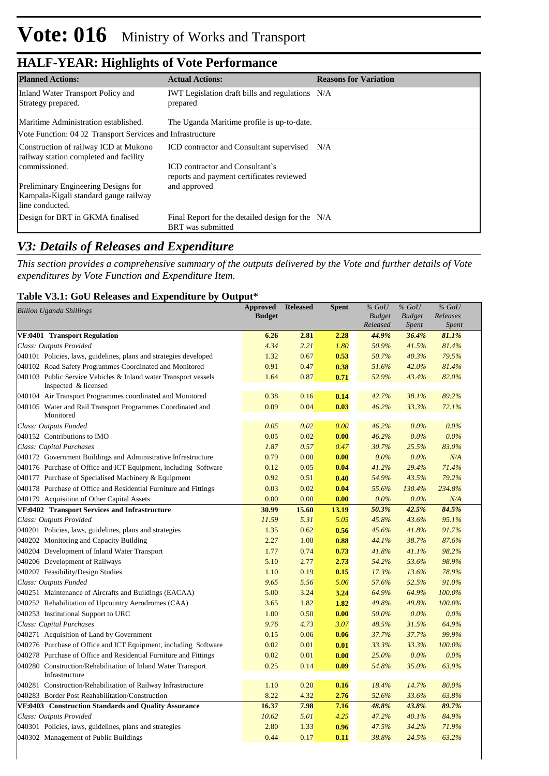| <b>Planned Actions:</b>                                                                         | <b>Actual Actions:</b>                                                       | <b>Reasons for Variation</b> |
|-------------------------------------------------------------------------------------------------|------------------------------------------------------------------------------|------------------------------|
| Inland Water Transport Policy and<br>Strategy prepared.                                         | <b>IWT</b> Legislation draft bills and regulations N/A<br>prepared           |                              |
| Maritime Administration established.                                                            | The Uganda Maritime profile is up-to-date.                                   |                              |
| Vote Function: 04 02 Transport Services and Infrastructure                                      |                                                                              |                              |
| Construction of railway ICD at Mukono<br>railway station completed and facility                 | ICD contractor and Consultant supervised N/A                                 |                              |
| commissioned.                                                                                   | ICD contractor and Consultant's<br>reports and payment certificates reviewed |                              |
| Preliminary Engineering Designs for<br>Kampala-Kigali standard gauge railway<br>line conducted. | and approved                                                                 |                              |
| Design for BRT in GKMA finalised                                                                | Final Report for the detailed design for the N/A<br><b>BRT</b> was submitted |                              |

### *V3: Details of Releases and Expenditure*

*This section provides a comprehensive summary of the outputs delivered by the Vote and further details of Vote expenditures by Vote Function and Expenditure Item.*

#### **Table V3.1: GoU Releases and Expenditure by Output\***

| <b>Billion Uganda Shillings</b>                                                         | <b>Approved</b> | <b>Released</b> | <b>Spent</b> | $%$ GoU       | $%$ GoU       | $%$ GoU      |  |
|-----------------------------------------------------------------------------------------|-----------------|-----------------|--------------|---------------|---------------|--------------|--|
|                                                                                         | <b>Budget</b>   |                 |              | <b>Budget</b> | <b>Budget</b> | Releases     |  |
|                                                                                         |                 |                 |              | Released      | <i>Spent</i>  | <b>Spent</b> |  |
| <b>VF:0401 Transport Regulation</b>                                                     | 6.26            | 2.81            | 2.28         | 44.9%         | 36.4%         | 81.1%        |  |
| Class: Outputs Provided                                                                 | 4.34            | 2.21            | 1.80         | 50.9%         | 41.5%         | 81.4%        |  |
| 040101 Policies, laws, guidelines, plans and strategies developed                       | 1.32            | 0.67            | 0.53         | 50.7%         | 40.3%         | 79.5%        |  |
| 040102 Road Safety Programmes Coordinated and Monitored                                 | 0.91            | 0.47            | 0.38         | 51.6%         | 42.0%         | 81.4%        |  |
| 040103 Public Service Vehicles & Inland water Transport vessels<br>Inspected & licensed | 1.64            | 0.87            | 0.71         | 52.9%         | 43.4%         | 82.0%        |  |
| 040104 Air Transport Programmes coordinated and Monitored                               | 0.38            | 0.16            | 0.14         | 42.7%         | 38.1%         | 89.2%        |  |
| 040105 Water and Rail Transport Programmes Coordinated and<br>Monitored                 | 0.09            | 0.04            | 0.03         | 46.2%         | 33.3%         | 72.1%        |  |
| Class: Outputs Funded                                                                   | 0.05            | 0.02            | 0.00         | 46.2%         | $0.0\%$       | $0.0\%$      |  |
| 040152 Contributions to IMO                                                             | 0.05            | 0.02            | 0.00         | 46.2%         | $0.0\%$       | $0.0\%$      |  |
| Class: Capital Purchases                                                                | 1.87            | 0.57            | 0.47         | 30.7%         | 25.5%         | 83.0%        |  |
| 040172 Government Buildings and Administrative Infrastructure                           | 0.79            | 0.00            | 0.00         | $0.0\%$       | $0.0\%$       | N/A          |  |
| 040176 Purchase of Office and ICT Equipment, including Software                         | 0.12            | 0.05            | 0.04         | 41.2%         | 29.4%         | 71.4%        |  |
| 040177 Purchase of Specialised Machinery & Equipment                                    | 0.92            | 0.51            | 0.40         | 54.9%         | 43.5%         | 79.2%        |  |
| 040178 Purchase of Office and Residential Furniture and Fittings                        | 0.03            | 0.02            | 0.04         | 55.6%         | 130.4%        | 234.8%       |  |
| 040179 Acquisition of Other Capital Assets                                              | 0.00            | 0.00            | 0.00         | $0.0\%$       | $0.0\%$       | N/A          |  |
| VF:0402 Transport Services and Infrastructure                                           | 30.99           | 15.60           | 13.19        | 50.3%         | 42.5%         | 84.5%        |  |
| Class: Outputs Provided                                                                 | 11.59           | 5.31            | 5.05         | 45.8%         | 43.6%         | 95.1%        |  |
| 040201 Policies, laws, guidelines, plans and strategies                                 | 1.35            | 0.62            | 0.56         | 45.6%         | 41.8%         | 91.7%        |  |
| 040202 Monitoring and Capacity Building                                                 | 2.27            | 1.00            | 0.88         | 44.1%         | 38.7%         | 87.6%        |  |
| 040204 Development of Inland Water Transport                                            | 1.77            | 0.74            | 0.73         | 41.8%         | 41.1%         | 98.2%        |  |
| 040206 Development of Railways                                                          | 5.10            | 2.77            | 2.73         | 54.2%         | 53.6%         | 98.9%        |  |
| 040207 Feasibility/Design Studies                                                       | 1.10            | 0.19            | 0.15         | 17.3%         | 13.6%         | 78.9%        |  |
| Class: Outputs Funded                                                                   | 9.65            | 5.56            | 5.06         | 57.6%         | 52.5%         | 91.0%        |  |
| 040251 Maintenance of Aircrafts and Buildings (EACAA)                                   | 5.00            | 3.24            | 3.24         | 64.9%         | 64.9%         | 100.0%       |  |
| 040252 Rehabilitation of Upcountry Aerodromes (CAA)                                     | 3.65            | 1.82            | 1.82         | 49.8%         | 49.8%         | 100.0%       |  |
| 040253 Institutional Support to URC                                                     | 1.00            | 0.50            | 0.00         | 50.0%         | $0.0\%$       | $0.0\%$      |  |
| Class: Capital Purchases                                                                | 9.76            | 4.73            | 3.07         | 48.5%         | 31.5%         | 64.9%        |  |
| 040271 Acquisition of Land by Government                                                | 0.15            | 0.06            | 0.06         | 37.7%         | 37.7%         | 99.9%        |  |
| 040276 Purchase of Office and ICT Equipment, including Software                         | 0.02            | 0.01            | 0.01         | 33.3%         | 33.3%         | 100.0%       |  |
| 040278 Purchase of Office and Residential Furniture and Fittings                        | 0.02            | 0.01            | 0.00         | 25.0%         | $0.0\%$       | $0.0\%$      |  |
| 040280 Construction/Rehabilitation of Inland Water Transport<br>Infrastructure          | 0.25            | 0.14            | 0.09         | 54.8%         | 35.0%         | 63.9%        |  |
| 040281 Construction/Rehabilitation of Railway Infrastructure                            | 1.10            | 0.20            | 0.16         | 18.4%         | 14.7%         | 80.0%        |  |
| 040283 Border Post Reahabilitation/Construction                                         | 8.22            | 4.32            | 2.76         | 52.6%         | 33.6%         | 63.8%        |  |
| VF:0403 Construction Standards and Quality Assurance                                    | 16.37           | 7.98            | 7.16         | 48.8%         | 43.8%         | 89.7%        |  |
| Class: Outputs Provided                                                                 | 10.62           | 5.01            | 4.25         | 47.2%         | 40.1%         | 84.9%        |  |
| 040301 Policies, laws, guidelines, plans and strategies                                 | 2.80            | 1.33            | 0.96         | 47.5%         | 34.2%         | 71.9%        |  |
| 040302 Management of Public Buildings                                                   | 0.44            | 0.17            | 0.11         | 38.8%         | 24.5%         | 63.2%        |  |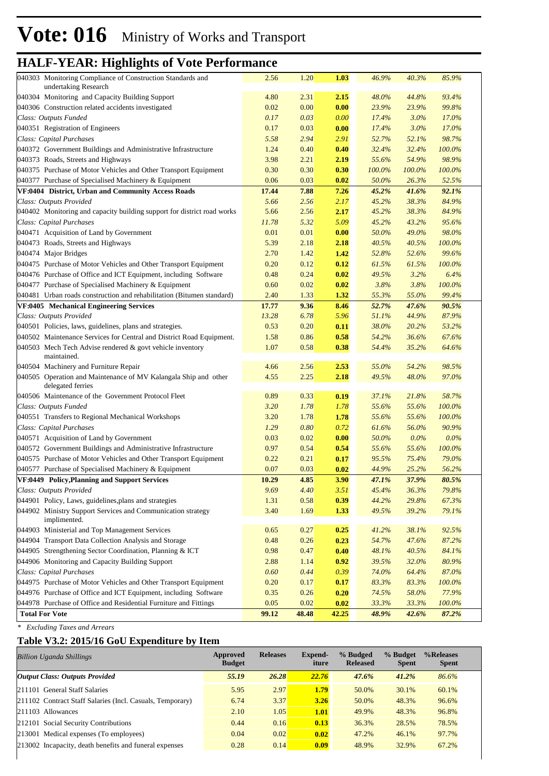| 040303 Monitoring Compliance of Construction Standards and<br>undertaking Research   | 2.56  | 1.20  | 1.03  | 46.9%  | 40.3%   | 85.9%     |  |
|--------------------------------------------------------------------------------------|-------|-------|-------|--------|---------|-----------|--|
| 040304 Monitoring and Capacity Building Support                                      | 4.80  | 2.31  | 2.15  | 48.0%  | 44.8%   | 93.4%     |  |
| 040306 Construction related accidents investigated                                   | 0.02  | 0.00  | 0.00  | 23.9%  | 23.9%   | 99.8%     |  |
| Class: Outputs Funded                                                                | 0.17  | 0.03  | 0.00  | 17.4%  | $3.0\%$ | 17.0%     |  |
| 040351 Registration of Engineers                                                     | 0.17  | 0.03  | 0.00  | 17.4%  | $3.0\%$ | 17.0%     |  |
| Class: Capital Purchases                                                             | 5.58  | 2.94  | 2.91  | 52.7%  | 52.1%   | 98.7%     |  |
| 040372 Government Buildings and Administrative Infrastructure                        | 1.24  | 0.40  | 0.40  | 32.4%  | 32.4%   | 100.0%    |  |
| 040373 Roads, Streets and Highways                                                   | 3.98  | 2.21  | 2.19  | 55.6%  | 54.9%   | 98.9%     |  |
| 040375 Purchase of Motor Vehicles and Other Transport Equipment                      | 0.30  | 0.30  | 0.30  | 100.0% | 100.0%  | 100.0%    |  |
| 040377 Purchase of Specialised Machinery & Equipment                                 | 0.06  | 0.03  | 0.02  | 50.0%  | 26.3%   | 52.5%     |  |
| VF:0404 District, Urban and Community Access Roads                                   | 17.44 | 7.88  | 7.26  | 45.2%  | 41.6%   | 92.1%     |  |
| Class: Outputs Provided                                                              | 5.66  | 2.56  | 2.17  | 45.2%  | 38.3%   | 84.9%     |  |
| 040402 Monitoring and capacity building support for district road works              | 5.66  | 2.56  | 2.17  | 45.2%  | 38.3%   | 84.9%     |  |
| Class: Capital Purchases                                                             | 11.78 | 5.32  | 5.09  | 45.2%  | 43.2%   | 95.6%     |  |
| 040471 Acquisition of Land by Government                                             | 0.01  | 0.01  | 0.00  | 50.0%  | 49.0%   | 98.0%     |  |
| 040473 Roads, Streets and Highways                                                   | 5.39  | 2.18  | 2.18  | 40.5%  | 40.5%   | 100.0%    |  |
| 040474 Major Bridges                                                                 | 2.70  | 1.42  | 1.42  | 52.8%  | 52.6%   | 99.6%     |  |
| 040475 Purchase of Motor Vehicles and Other Transport Equipment                      | 0.20  | 0.12  | 0.12  | 61.5%  | 61.5%   | 100.0%    |  |
| 040476 Purchase of Office and ICT Equipment, including Software                      | 0.48  | 0.24  | 0.02  | 49.5%  | 3.2%    | 6.4%      |  |
| 040477 Purchase of Specialised Machinery & Equipment                                 | 0.60  | 0.02  | 0.02  | 3.8%   | 3.8%    | 100.0%    |  |
| 040481 Urban roads construction and rehabilitation (Bitumen standard)                | 2.40  | 1.33  | 1.32  | 55.3%  | 55.0%   | 99.4%     |  |
| VF:0405 Mechanical Engineering Services                                              | 17.77 | 9.36  | 8.46  | 52.7%  | 47.6%   | 90.5%     |  |
| Class: Outputs Provided                                                              | 13.28 | 6.78  | 5.96  | 51.1%  | 44.9%   | 87.9%     |  |
| 040501 Policies, laws, guidelines, plans and strategies.                             | 0.53  | 0.20  | 0.11  | 38.0%  | 20.2%   | 53.2%     |  |
| 040502 Maintenance Services for Central and District Road Equipment.                 | 1.58  | 0.86  | 0.58  | 54.2%  | 36.6%   | 67.6%     |  |
| 040503 Mech Tech Advise rendered & govt vehicle inventory<br>maintained.             | 1.07  | 0.58  | 0.38  | 54.4%  | 35.2%   | 64.6%     |  |
| 040504 Machinery and Furniture Repair                                                | 4.66  | 2.56  | 2.53  | 55.0%  | 54.2%   | 98.5%     |  |
| 040505 Operation and Maintenance of MV Kalangala Ship and other<br>delegated ferries | 4.55  | 2.25  | 2.18  | 49.5%  | 48.0%   | 97.0%     |  |
| 040506 Maintenance of the Government Protocol Fleet                                  | 0.89  | 0.33  | 0.19  | 37.1%  | 21.8%   | 58.7%     |  |
| Class: Outputs Funded                                                                | 3.20  | 1.78  | 1.78  | 55.6%  | 55.6%   | 100.0%    |  |
| 040551 Transfers to Regional Mechanical Workshops                                    | 3.20  | 1.78  | 1.78  | 55.6%  | 55.6%   | 100.0%    |  |
| Class: Capital Purchases                                                             | 1.29  | 0.80  | 0.72  | 61.6%  | 56.0%   | 90.9%     |  |
| 040571 Acquisition of Land by Government                                             | 0.03  | 0.02  | 0.00  | 50.0%  | $0.0\%$ | $0.0\%$   |  |
| 040572 Government Buildings and Administrative Infrastructure                        | 0.97  | 0.54  | 0.54  | 55.6%  | 55.6%   | 100.0%    |  |
| 040575 Purchase of Motor Vehicles and Other Transport Equipment                      | 0.22  | 0.21  | 0.17  | 95.5%  | 75.4%   | 79.0%     |  |
| 040577 Purchase of Specialised Machinery & Equipment                                 | 0.07  | 0.03  | 0.02  | 44.9%  | 25.2%   | 56.2%     |  |
| VF:0449 Policy, Planning and Support Services                                        | 10.29 | 4.85  | 3.90  | 47.1%  | 37.9%   | 80.5%     |  |
| Class: Outputs Provided                                                              | 9.69  | 4.40  | 3.51  | 45.4%  | 36.3%   | 79.8%     |  |
| 044901 Policy, Laws, guidelines, plans and strategies                                | 1.31  | 0.58  | 0.39  | 44.2%  | 29.8%   | 67.3%     |  |
| 044902 Ministry Support Services and Communication strategy<br>implimented.          | 3.40  | 1.69  | 1.33  | 49.5%  | 39.2%   | 79.1%     |  |
| 044903 Ministerial and Top Management Services                                       | 0.65  | 0.27  | 0.25  | 41.2%  | 38.1%   | 92.5%     |  |
| 044904 Transport Data Collection Analysis and Storage                                | 0.48  | 0.26  | 0.23  | 54.7%  | 47.6%   | 87.2%     |  |
| 044905 Strengthening Sector Coordination, Planning & ICT                             | 0.98  | 0.47  | 0.40  | 48.1%  | 40.5%   | 84.1%     |  |
| 044906 Monitoring and Capacity Building Support                                      | 2.88  | 1.14  | 0.92  | 39.5%  | 32.0%   | 80.9%     |  |
| Class: Capital Purchases                                                             | 0.60  | 0.44  | 0.39  | 74.0%  | 64.4%   | 87.0%     |  |
| 044975 Purchase of Motor Vehicles and Other Transport Equipment                      | 0.20  | 0.17  | 0.17  | 83.3%  | 83.3%   | $100.0\%$ |  |
| 044976 Purchase of Office and ICT Equipment, including Software                      | 0.35  | 0.26  | 0.20  | 74.5%  | 58.0%   | 77.9%     |  |
| 044978 Purchase of Office and Residential Furniture and Fittings                     | 0.05  | 0.02  | 0.02  | 33.3%  | 33.3%   | 100.0%    |  |
| <b>Total For Vote</b>                                                                | 99.12 | 48.48 | 42.25 | 48.9%  | 42.6%   | 87.2%     |  |
|                                                                                      |       |       |       |        |         |           |  |

*\* Excluding Taxes and Arrears*

### **Table V3.2: 2015/16 GoU Expenditure by Item**

| <b>Billion Uganda Shillings</b>                           | Approved<br><b>Budget</b> | <b>Releases</b> | Expend-<br>iture | % Budged<br><b>Released</b> | % Budget<br><b>Spent</b> | %Releases<br><b>Spent</b> |
|-----------------------------------------------------------|---------------------------|-----------------|------------------|-----------------------------|--------------------------|---------------------------|
| <b>Output Class: Outputs Provided</b>                     | 55.19                     | 26.28           | 22.76            | 47.6%                       | 41.2%                    | 86.6%                     |
| 211101 General Staff Salaries                             | 5.95                      | 2.97            | 1.79             | 50.0%                       | 30.1%                    | 60.1%                     |
| 211102 Contract Staff Salaries (Incl. Casuals, Temporary) | 6.74                      | 3.37            | 3.26             | 50.0%                       | 48.3%                    | 96.6%                     |
| $ 211103$ Allowances                                      | 2.10                      | 1.05            | 1.01             | 49.9%                       | 48.3%                    | 96.8%                     |
| 212101 Social Security Contributions                      | 0.44                      | 0.16            | 0.13             | 36.3%                       | 28.5%                    | 78.5%                     |
| 213001 Medical expenses (To employees)                    | 0.04                      | 0.02            | 0.02             | 47.2%                       | 46.1%                    | 97.7%                     |
| 213002 Incapacity, death benefits and funeral expenses    | 0.28                      | 0.14            | 0.09             | 48.9%                       | 32.9%                    | 67.2%                     |
|                                                           |                           |                 |                  |                             |                          |                           |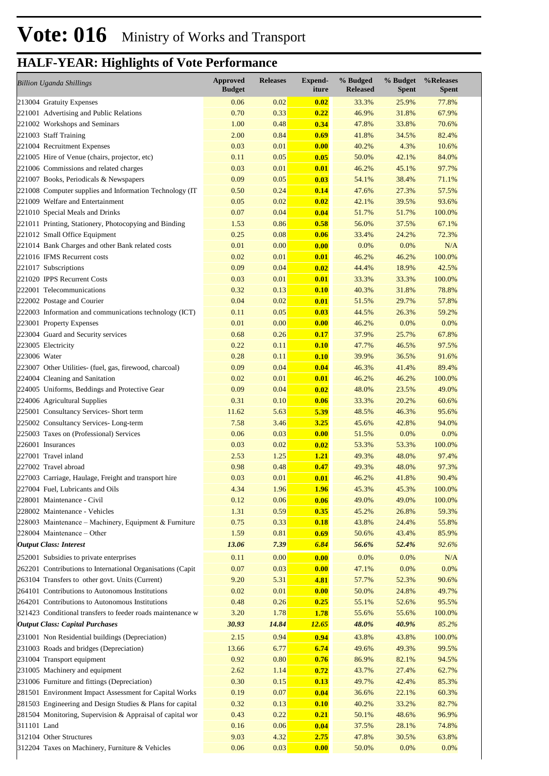| <b>Billion Uganda Shillings</b>                            | <b>Approved</b><br><b>Budget</b> | <b>Releases</b> | Expend-<br>iture | % Budged<br><b>Released</b> | % Budget<br><b>Spent</b> | %Releases<br><b>Spent</b> |
|------------------------------------------------------------|----------------------------------|-----------------|------------------|-----------------------------|--------------------------|---------------------------|
| 213004 Gratuity Expenses                                   | 0.06                             | 0.02            | 0.02             | 33.3%                       | 25.9%                    | 77.8%                     |
| 221001 Advertising and Public Relations                    | 0.70                             | 0.33            | 0.22             | 46.9%                       | 31.8%                    | 67.9%                     |
| 221002 Workshops and Seminars                              | 1.00                             | 0.48            | 0.34             | 47.8%                       | 33.8%                    | 70.6%                     |
| 221003 Staff Training                                      | 2.00                             | 0.84            | 0.69             | 41.8%                       | 34.5%                    | 82.4%                     |
| 221004 Recruitment Expenses                                | 0.03                             | 0.01            | 0.00             | 40.2%                       | 4.3%                     | 10.6%                     |
| 221005 Hire of Venue (chairs, projector, etc)              | 0.11                             | 0.05            | 0.05             | 50.0%                       | 42.1%                    | 84.0%                     |
| 221006 Commissions and related charges                     | 0.03                             | 0.01            | 0.01             | 46.2%                       | 45.1%                    | 97.7%                     |
| 221007 Books, Periodicals & Newspapers                     | 0.09                             | 0.05            | 0.03             | 54.1%                       | 38.4%                    | 71.1%                     |
| 221008 Computer supplies and Information Technology (IT    | 0.50                             | 0.24            | 0.14             | 47.6%                       | 27.3%                    | 57.5%                     |
| 221009 Welfare and Entertainment                           | 0.05                             | 0.02            | 0.02             | 42.1%                       | 39.5%                    | 93.6%                     |
| 221010 Special Meals and Drinks                            | 0.07                             | 0.04            | 0.04             | 51.7%                       | 51.7%                    | 100.0%                    |
| 221011 Printing, Stationery, Photocopying and Binding      | 1.53                             | 0.86            | 0.58             | 56.0%                       | 37.5%                    | 67.1%                     |
| 221012 Small Office Equipment                              | 0.25                             | 0.08            | 0.06             | 33.4%                       | 24.2%                    | 72.3%                     |
| 221014 Bank Charges and other Bank related costs           | 0.01                             | 0.00            | 0.00             | 0.0%                        | 0.0%                     | N/A                       |
| 221016 IFMS Recurrent costs                                | 0.02                             | 0.01            | 0.01             | 46.2%                       | 46.2%                    | 100.0%                    |
| 221017 Subscriptions                                       | 0.09                             | 0.04            | 0.02             | 44.4%                       | 18.9%                    | 42.5%                     |
| 221020 IPPS Recurrent Costs                                | 0.03                             | 0.01            | 0.01             | 33.3%                       | 33.3%                    | 100.0%                    |
| 222001 Telecommunications                                  | 0.32                             | 0.13            | 0.10             | 40.3%                       | 31.8%                    | 78.8%                     |
| 222002 Postage and Courier                                 | 0.04                             | 0.02            | 0.01             | 51.5%                       | 29.7%                    | 57.8%                     |
| 222003 Information and communications technology (ICT)     | 0.11                             | 0.05            | 0.03             | 44.5%                       | 26.3%                    | 59.2%                     |
| 223001 Property Expenses                                   | 0.01                             | 0.00            | 0.00             | 46.2%                       | 0.0%                     | 0.0%                      |
| 223004 Guard and Security services                         | 0.68                             | 0.26            | 0.17             | 37.9%                       | 25.7%                    | 67.8%                     |
| 223005 Electricity                                         | 0.22                             | 0.11            | 0.10             | 47.7%                       | 46.5%                    | 97.5%                     |
| 223006 Water                                               | 0.28                             | 0.11            | 0.10             | 39.9%                       | 36.5%                    | 91.6%                     |
| 223007 Other Utilities- (fuel, gas, firewood, charcoal)    | 0.09                             | 0.04            | 0.04             | 46.3%                       | 41.4%                    | 89.4%                     |
| 224004 Cleaning and Sanitation                             | 0.02                             | 0.01            | 0.01             | 46.2%                       | 46.2%                    | 100.0%                    |
| 224005 Uniforms, Beddings and Protective Gear              | 0.09                             | 0.04            | 0.02             | 48.0%                       | 23.5%                    | 49.0%                     |
| 224006 Agricultural Supplies                               | 0.31                             | 0.10            | 0.06             | 33.3%                       | 20.2%                    | 60.6%                     |
| 225001 Consultancy Services- Short term                    | 11.62                            | 5.63            | 5.39             | 48.5%                       | 46.3%                    | 95.6%                     |
| 225002 Consultancy Services-Long-term                      | 7.58                             | 3.46            | 3.25             | 45.6%                       | 42.8%                    | 94.0%                     |
| 225003 Taxes on (Professional) Services                    | 0.06                             | 0.03            | 0.00             | 51.5%                       | 0.0%                     | 0.0%                      |
| 226001 Insurances                                          | 0.03                             | 0.02            | 0.02             | 53.3%                       | 53.3%                    | 100.0%                    |
| 227001 Travel inland                                       | 2.53                             | 1.25            | <b>1.21</b>      | 49.3%                       | 48.0%                    | 97.4%                     |
| 227002 Travel abroad                                       | 0.98                             | 0.48            | 0.47             | 49.3%                       | 48.0%                    | 97.3%                     |
| 227003 Carriage, Haulage, Freight and transport hire       | 0.03                             | 0.01            | 0.01             | 46.2%                       | 41.8%                    | 90.4%                     |
| 227004 Fuel, Lubricants and Oils                           | 4.34                             | 1.96            | <b>1.96</b>      | 45.3%                       | 45.3%                    | 100.0%                    |
| 228001 Maintenance - Civil                                 | 0.12                             | 0.06            | 0.06             | 49.0%                       | 49.0%                    | 100.0%                    |
| 228002 Maintenance - Vehicles                              | 1.31                             | 0.59            | 0.35             | 45.2%                       | 26.8%                    | 59.3%                     |
| 228003 Maintenance – Machinery, Equipment & Furniture      | 0.75                             | 0.33            | 0.18             | 43.8%                       | 24.4%                    | 55.8%                     |
| 228004 Maintenance - Other                                 | 1.59                             | 0.81            | 0.69             | 50.6%                       | 43.4%                    | 85.9%                     |
| <b>Output Class: Interest</b>                              | 13.06                            | 7.39            | 6.84             | 56.6%                       | 52.4%                    | 92.6%                     |
| 252001 Subsidies to private enterprises                    | 0.11                             | 0.00            | 0.00             | 0.0%                        | 0.0%                     | $\rm N/A$                 |
| 262201 Contributions to International Organisations (Capit | 0.07                             | 0.03            | 0.00             | 47.1%                       | 0.0%                     | 0.0%                      |
| 263104 Transfers to other govt. Units (Current)            | 9.20                             | 5.31            | 4.81             | 57.7%                       | 52.3%                    | 90.6%                     |
| 264101 Contributions to Autonomous Institutions            | 0.02                             | 0.01            | 0.00             | 50.0%                       | 24.8%                    | 49.7%                     |
| 264201 Contributions to Autonomous Institutions            | 0.48                             | 0.26            | 0.25             | 55.1%                       | 52.6%                    | 95.5%                     |
| 321423 Conditional transfers to feeder roads maintenance w | 3.20                             | 1.78            | 1.78             | 55.6%                       | 55.6%                    | 100.0%                    |
| <b>Output Class: Capital Purchases</b>                     | 30.93                            | 14.84           | 12.65            | 48.0%                       | 40.9%                    | 85.2%                     |
| 231001 Non Residential buildings (Depreciation)            | 2.15                             | 0.94            | 0.94             | 43.8%                       | 43.8%                    | 100.0%                    |
| 231003 Roads and bridges (Depreciation)                    | 13.66                            | 6.77            | 6.74             | 49.6%                       | 49.3%                    | 99.5%                     |
| 231004 Transport equipment                                 | 0.92                             | 0.80            | 0.76             | 86.9%                       | 82.1%                    | 94.5%                     |
| 231005 Machinery and equipment                             | 2.62                             | 1.14            | 0.72             | 43.7%                       | 27.4%                    | 62.7%                     |
| 231006 Furniture and fittings (Depreciation)               | 0.30                             | 0.15            | 0.13             | 49.7%                       | 42.4%                    | 85.3%                     |
| 281501 Environment Impact Assessment for Capital Works     | 0.19                             | 0.07            | 0.04             | 36.6%                       | 22.1%                    | 60.3%                     |
| 281503 Engineering and Design Studies & Plans for capital  | 0.32                             | 0.13            | 0.10             | 40.2%                       | 33.2%                    | 82.7%                     |
| 281504 Monitoring, Supervision & Appraisal of capital wor  | 0.43                             | 0.22            | 0.21             | 50.1%                       | 48.6%                    | 96.9%                     |
| 311101 Land                                                | 0.16                             | 0.06            | 0.04             | 37.5%                       | 28.1%                    | 74.8%                     |
| 312104 Other Structures                                    | 9.03                             | 4.32            | 2.75             | 47.8%                       | 30.5%                    | 63.8%                     |
| 312204 Taxes on Machinery, Furniture & Vehicles            | 0.06                             | 0.03            | 0.00             | 50.0%                       | 0.0%                     | 0.0%                      |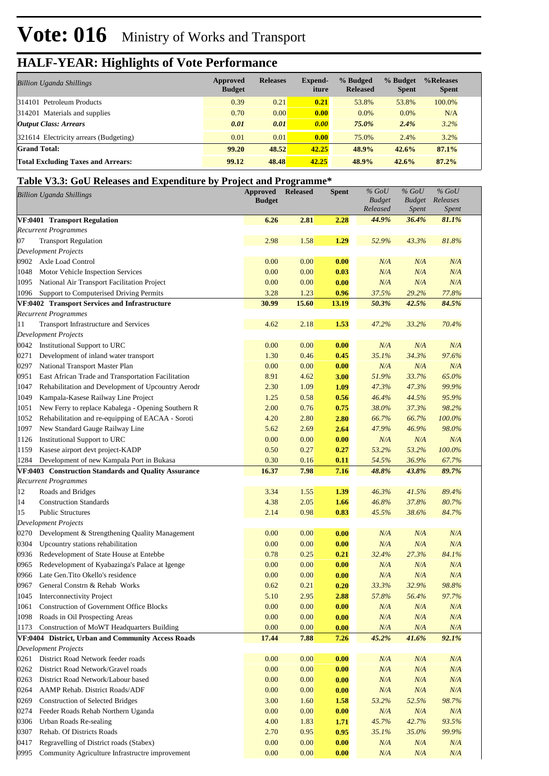| <b>Billion Uganda Shillings</b>           | Approved<br><b>Budget</b> | <b>Releases</b> | <b>Expend-</b><br>iture | % Budged<br><b>Released</b> | % Budget<br><b>Spent</b> | %Releases<br><b>Spent</b> |  |
|-------------------------------------------|---------------------------|-----------------|-------------------------|-----------------------------|--------------------------|---------------------------|--|
| 314101 Petroleum Products                 | 0.39                      | 0.21            | 0.21                    | 53.8%                       | 53.8%                    | 100.0%                    |  |
| 314201 Materials and supplies             | 0.70                      | 0.00            | 0.00                    | $0.0\%$                     | 0.0%                     | N/A                       |  |
| <b>Output Class: Arrears</b>              | 0.01                      | 0.01            | 0.00                    | 75.0%                       | 2.4%                     | 3.2%                      |  |
| 321614 Electricity arrears (Budgeting)    | 0.01                      | 0.01            | 0.00                    | 75.0%                       | 2.4%                     | 3.2%                      |  |
| <b>Grand Total:</b>                       | 99.20                     | 48.52           | 42.25                   | 48.9%                       | 42.6%                    | 87.1%                     |  |
| <b>Total Excluding Taxes and Arrears:</b> | 99.12                     | 48.48           | 42.25                   | 48.9%                       | 42.6%                    | 87.2%                     |  |

#### **Table V3.3: GoU Releases and Expenditure by Project and Programme\***

|      | <b>Billion Uganda Shillings</b>                      | <b>Approved</b><br><b>Budget</b> | <b>Released</b> | <b>Spent</b> | $%$ GoU<br><b>Budget</b><br>Released | $%$ GoU<br><b>Budget</b><br><i>Spent</i> | $%$ GoU<br>Releases<br>Spent |  |
|------|------------------------------------------------------|----------------------------------|-----------------|--------------|--------------------------------------|------------------------------------------|------------------------------|--|
|      | VF:0401 Transport Regulation                         | 6.26                             | 2.81            | 2.28         | 44.9%                                | 36.4%                                    | 81.1%                        |  |
|      | <b>Recurrent Programmes</b>                          |                                  |                 |              |                                      |                                          |                              |  |
| 07   | <b>Transport Regulation</b>                          | 2.98                             | 1.58            | 1.29         | 52.9%                                | 43.3%                                    | 81.8%                        |  |
|      | <b>Development Projects</b>                          |                                  |                 |              |                                      |                                          |                              |  |
|      | 0902 Axle Load Control                               | 0.00                             | 0.00            | 0.00         | N/A                                  | N/A                                      | N/A                          |  |
| 1048 | Motor Vehicle Inspection Services                    | 0.00                             | 0.00            | 0.03         | N/A                                  | N/A                                      | N/A                          |  |
| 1095 | National Air Transport Facilitation Project          | 0.00                             | 0.00            | 0.00         | N/A                                  | N/A                                      | N/A                          |  |
| 1096 | Support to Computerised Driving Permits              | 3.28                             | 1.23            | 0.96         | 37.5%                                | 29.2%                                    | 77.8%                        |  |
|      | VF:0402 Transport Services and Infrastructure        | 30.99                            | 15.60           | 13.19        | 50.3%                                | 42.5%                                    | 84.5%                        |  |
|      | <b>Recurrent Programmes</b>                          |                                  |                 |              |                                      |                                          |                              |  |
| 11   | Transport Infrastructure and Services                | 4.62                             | 2.18            | 1.53         | 47.2%                                | 33.2%                                    | 70.4%                        |  |
|      | <b>Development Projects</b>                          |                                  |                 |              |                                      |                                          |                              |  |
|      | 0042 Institutional Support to URC                    | 0.00                             | 0.00            | 0.00         | N/A                                  | N/A                                      | N/A                          |  |
| 0271 | Development of inland water transport                | 1.30                             | 0.46            | 0.45         | 35.1%                                | 34.3%                                    | 97.6%                        |  |
| 0297 | National Transport Master Plan                       | 0.00                             | 0.00            | 0.00         | N/A                                  | N/A                                      | N/A                          |  |
| 0951 | East African Trade and Transportation Facilitation   | 8.91                             | 4.62            | 3.00         | 51.9%                                | 33.7%                                    | 65.0%                        |  |
| 1047 | Rehabilitation and Development of Upcountry Aerodr   | 2.30                             | 1.09            | 1.09         | 47.3%                                | 47.3%                                    | 99.9%                        |  |
| 1049 | Kampala-Kasese Railway Line Project                  | 1.25                             | 0.58            | 0.56         | 46.4%                                | 44.5%                                    | 95.9%                        |  |
| 1051 | New Ferry to replace Kabalega - Opening Southern R   | 2.00                             | 0.76            | 0.75         | 38.0%                                | 37.3%                                    | 98.2%                        |  |
| 1052 | Rehabilitation and re-equipping of EACAA - Soroti    | 4.20                             | 2.80            | 2.80         | 66.7%                                | 66.7%                                    | 100.0%                       |  |
| 1097 | New Standard Gauge Railway Line                      | 5.62                             | 2.69            | 2.64         | 47.9%                                | 46.9%                                    | 98.0%                        |  |
| 1126 | Institutional Support to URC                         | 0.00                             | 0.00            | 0.00         | N/A                                  | N/A                                      | N/A                          |  |
| 1159 | Kasese airport devt project-KADP                     | 0.50                             | 0.27            | 0.27         | 53.2%                                | 53.2%                                    | 100.0%                       |  |
| 1284 | Development of new Kampala Port in Bukasa            | 0.30                             | 0.16            | 0.11         | 54.5%                                | 36.9%                                    | 67.7%                        |  |
|      | VF:0403 Construction Standards and Quality Assurance | 16.37                            | 7.98            | 7.16         | 48.8%                                | 43.8%                                    | 89.7%                        |  |
|      | <b>Recurrent Programmes</b>                          |                                  |                 |              |                                      |                                          |                              |  |
| 12   | Roads and Bridges                                    | 3.34                             | 1.55            | 1.39         | 46.3%                                | 41.5%                                    | 89.4%                        |  |
| 14   | <b>Construction Standards</b>                        | 4.38                             | 2.05            | 1.66         | 46.8%                                | 37.8%                                    | 80.7%                        |  |
| 15   | <b>Public Structures</b>                             | 2.14                             | 0.98            | 0.83         | 45.5%                                | 38.6%                                    | 84.7%                        |  |
|      | <b>Development Projects</b>                          |                                  |                 |              |                                      |                                          |                              |  |
| 0270 | Development & Strengthening Quality Management       | 0.00                             | 0.00            | 0.00         | N/A                                  | N/A                                      | N/A                          |  |
| 0304 | Upcountry stations rehabilitation                    | 0.00                             | 0.00            | 0.00         | N/A                                  | N/A                                      | N/A                          |  |
| 0936 | Redevelopment of State House at Entebbe              | 0.78                             | 0.25            | 0.21         | 32.4%                                | 27.3%                                    | 84.1%                        |  |
| 0965 | Redevelopment of Kyabazinga's Palace at Igenge       | 0.00                             | 0.00            | 0.00         | N/A                                  | N/A                                      | N/A                          |  |
| 0966 | Late Gen. Tito Okello's residence                    | 0.00                             | 0.00            | 0.00         | N/A                                  | N/A                                      | N/A                          |  |
| 0967 | General Constrn & Rehab Works                        | 0.62                             | 0.21            | 0.20         | 33.3%                                | 32.9%                                    | 98.8%                        |  |
| 1045 | Interconnectivity Project                            | 5.10                             | 2.95            | 2.88         | 57.8%                                | 56.4%                                    | 97.7%                        |  |
| 1061 | <b>Construction of Government Office Blocks</b>      | 0.00                             | 0.00            | 0.00         | N/A                                  | N/A                                      | N/A                          |  |
| 1098 | Roads in Oil Prospecting Areas                       | 0.00                             | 0.00            | 0.00         | N/A                                  | N/A                                      | N/A                          |  |
| 1173 | Construction of MoWT Headquarters Building           | 0.00                             | 0.00            | 0.00         | N/A                                  | N/A                                      | N/A                          |  |
|      | VF:0404 District, Urban and Community Access Roads   | 17.44                            | 7.88            | 7.26         | 45.2%                                | 41.6%                                    | 92.1%                        |  |
|      | <b>Development Projects</b>                          |                                  |                 |              |                                      |                                          |                              |  |
| 0261 | District Road Network feeder roads                   | 0.00                             | 0.00            | 0.00         | N/A                                  | N/A                                      | N/A                          |  |
| 0262 | District Road Network/Gravel roads                   | $0.00\,$                         | 0.00            | 0.00         | N/A                                  | N/A                                      | N/A                          |  |
| 0263 | District Road Network/Labour based                   | 0.00                             | 0.00            | 0.00         | N/A                                  | N/A                                      | N/A                          |  |
| 0264 | AAMP Rehab. District Roads/ADF                       | $0.00\,$                         | 0.00            | 0.00         | N/A                                  | N/A                                      | N/A                          |  |
| 0269 | <b>Construction of Selected Bridges</b>              | 3.00                             | 1.60            | 1.58         | 53.2%                                | 52.5%                                    | 98.7%                        |  |
| 0274 | Feeder Roads Rehab Northern Uganda                   | $0.00\,$                         | 0.00            | 0.00         | N/A                                  | N/A                                      | N/A                          |  |
| 0306 | Urban Roads Re-sealing                               | 4.00                             | 1.83            | 1.71         | 45.7%                                | 42.7%                                    | 93.5%                        |  |
| 0307 | Rehab. Of Districts Roads                            | 2.70                             | 0.95            | 0.95         | 35.1%                                | 35.0%                                    | 99.9%                        |  |
| 0417 | Regravelling of District roads (Stabex)              | 0.00                             | 0.00            | 0.00         | N/A                                  | N/A                                      | N/A                          |  |
| 0995 | Community Agriculture Infrastructre improvement      | 0.00                             | 0.00            | 0.00         | N/A                                  | N/A                                      | N/A                          |  |